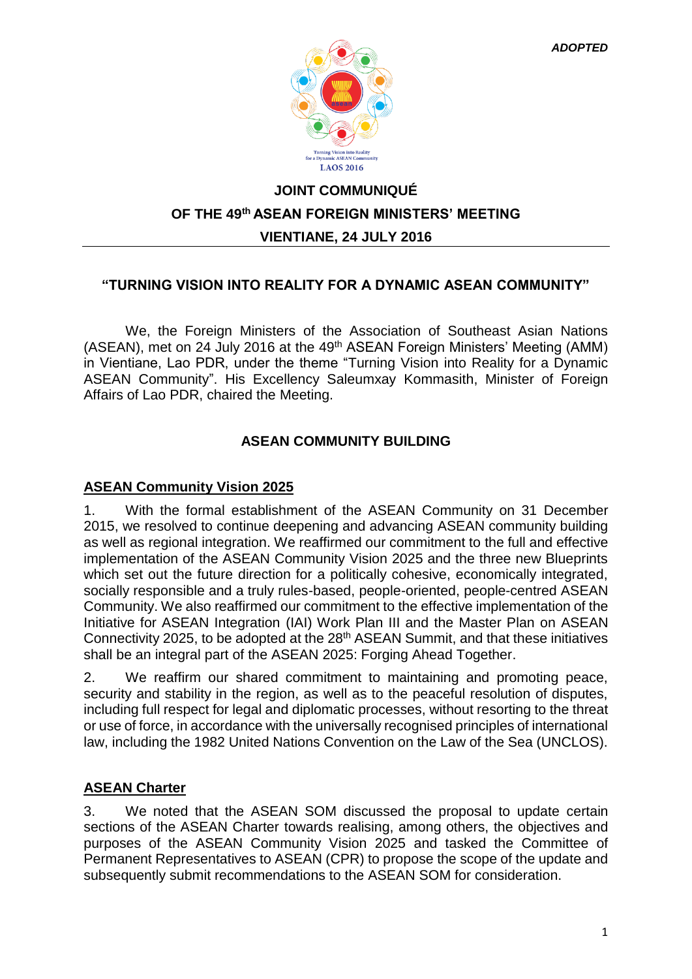

# **JOINT COMMUNIQUÉ OF THE 49th ASEAN FOREIGN MINISTERS' MEETING VIENTIANE, 24 JULY 2016**

### **"TURNING VISION INTO REALITY FOR A DYNAMIC ASEAN COMMUNITY"**

We, the Foreign Ministers of the Association of Southeast Asian Nations (ASEAN), met on 24 July 2016 at the 49<sup>th</sup> ASEAN Foreign Ministers' Meeting (AMM) in Vientiane, Lao PDR, under the theme "Turning Vision into Reality for a Dynamic ASEAN Community". His Excellency Saleumxay Kommasith, Minister of Foreign Affairs of Lao PDR, chaired the Meeting.

### **ASEAN COMMUNITY BUILDING**

#### **ASEAN Community Vision 2025**

1. With the formal establishment of the ASEAN Community on 31 December 2015, we resolved to continue deepening and advancing ASEAN community building as well as regional integration. We reaffirmed our commitment to the full and effective implementation of the ASEAN Community Vision 2025 and the three new Blueprints which set out the future direction for a politically cohesive, economically integrated, socially responsible and a truly rules-based, people-oriented, people-centred ASEAN Community. We also reaffirmed our commitment to the effective implementation of the Initiative for ASEAN Integration (IAI) Work Plan III and the Master Plan on ASEAN Connectivity 2025, to be adopted at the 28<sup>th</sup> ASEAN Summit, and that these initiatives shall be an integral part of the ASEAN 2025: Forging Ahead Together.

2. We reaffirm our shared commitment to maintaining and promoting peace, security and stability in the region, as well as to the peaceful resolution of disputes, including full respect for legal and diplomatic processes, without resorting to the threat or use of force, in accordance with the universally recognised principles of international law, including the 1982 United Nations Convention on the Law of the Sea (UNCLOS).

# **ASEAN Charter**

3. We noted that the ASEAN SOM discussed the proposal to update certain sections of the ASEAN Charter towards realising, among others, the objectives and purposes of the ASEAN Community Vision 2025 and tasked the Committee of Permanent Representatives to ASEAN (CPR) to propose the scope of the update and subsequently submit recommendations to the ASEAN SOM for consideration.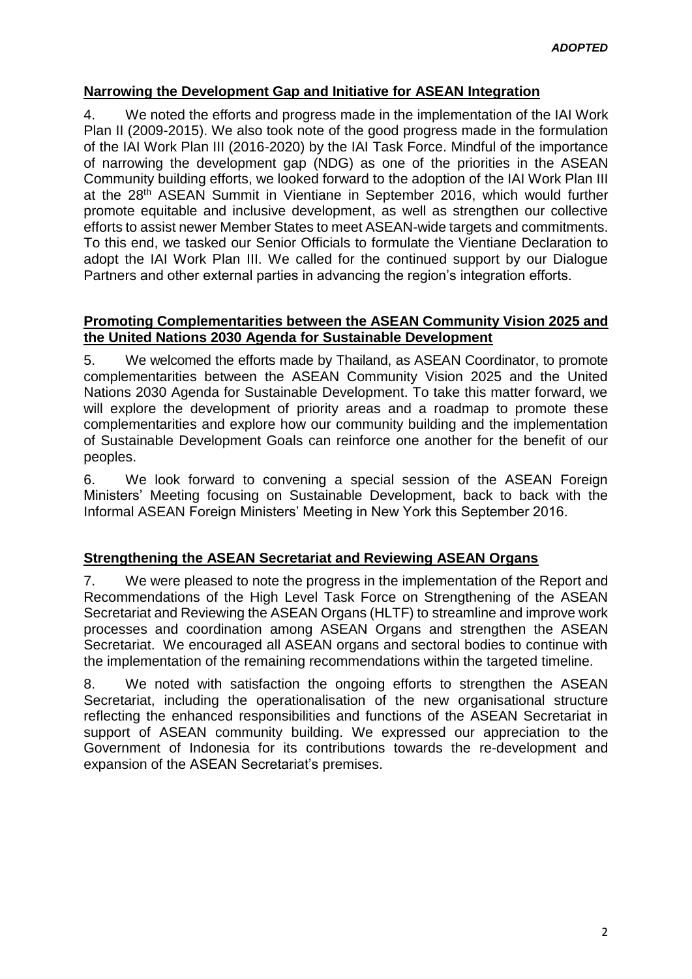### **Narrowing the Development Gap and Initiative for ASEAN Integration**

4. We noted the efforts and progress made in the implementation of the IAI Work Plan II (2009-2015). We also took note of the good progress made in the formulation of the IAI Work Plan III (2016-2020) by the IAI Task Force. Mindful of the importance of narrowing the development gap (NDG) as one of the priorities in the ASEAN Community building efforts, we looked forward to the adoption of the IAI Work Plan III at the 28<sup>th</sup> ASEAN Summit in Vientiane in September 2016, which would further promote equitable and inclusive development, as well as strengthen our collective efforts to assist newer Member States to meet ASEAN-wide targets and commitments. To this end, we tasked our Senior Officials to formulate the Vientiane Declaration to adopt the IAI Work Plan III. We called for the continued support by our Dialogue Partners and other external parties in advancing the region's integration efforts.

#### **Promoting Complementarities between the ASEAN Community Vision 2025 and the United Nations 2030 Agenda for Sustainable Development**

5. We welcomed the efforts made by Thailand, as ASEAN Coordinator, to promote complementarities between the ASEAN Community Vision 2025 and the United Nations 2030 Agenda for Sustainable Development. To take this matter forward, we will explore the development of priority areas and a roadmap to promote these complementarities and explore how our community building and the implementation of Sustainable Development Goals can reinforce one another for the benefit of our peoples.

6. We look forward to convening a special session of the ASEAN Foreign Ministers' Meeting focusing on Sustainable Development, back to back with the Informal ASEAN Foreign Ministers' Meeting in New York this September 2016.

#### **Strengthening the ASEAN Secretariat and Reviewing ASEAN Organs**

7. We were pleased to note the progress in the implementation of the Report and Recommendations of the High Level Task Force on Strengthening of the ASEAN Secretariat and Reviewing the ASEAN Organs (HLTF) to streamline and improve work processes and coordination among ASEAN Organs and strengthen the ASEAN Secretariat. We encouraged all ASEAN organs and sectoral bodies to continue with the implementation of the remaining recommendations within the targeted timeline.

8. We noted with satisfaction the ongoing efforts to strengthen the ASEAN Secretariat, including the operationalisation of the new organisational structure reflecting the enhanced responsibilities and functions of the ASEAN Secretariat in support of ASEAN community building. We expressed our appreciation to the Government of Indonesia for its contributions towards the re-development and expansion of the ASEAN Secretariat's premises.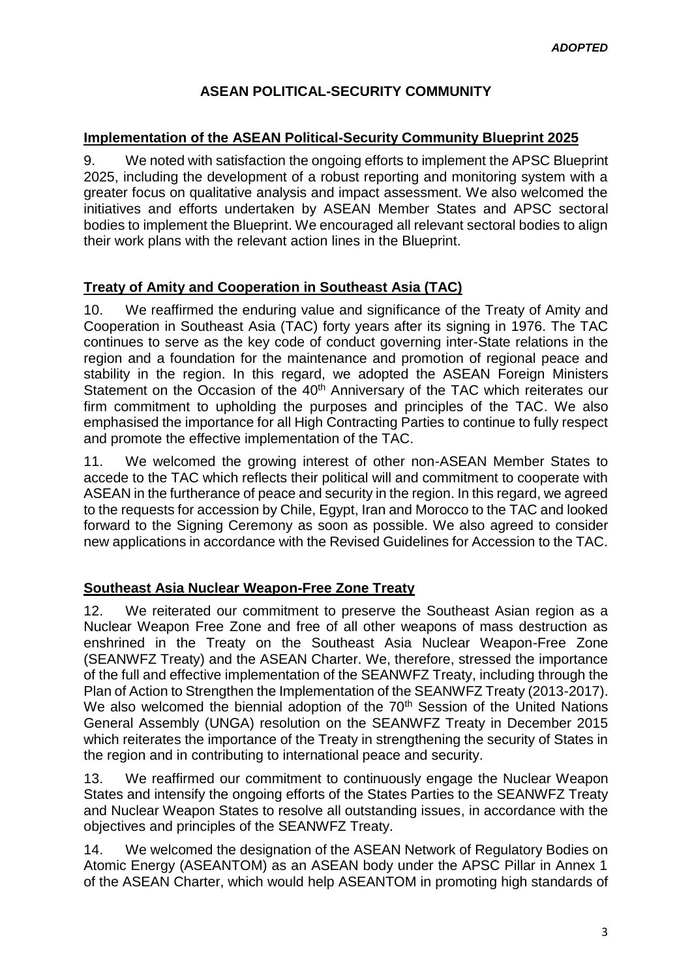# **ASEAN POLITICAL-SECURITY COMMUNITY**

#### **Implementation of the ASEAN Political-Security Community Blueprint 2025**

9. We noted with satisfaction the ongoing efforts to implement the APSC Blueprint 2025, including the development of a robust reporting and monitoring system with a greater focus on qualitative analysis and impact assessment. We also welcomed the initiatives and efforts undertaken by ASEAN Member States and APSC sectoral bodies to implement the Blueprint. We encouraged all relevant sectoral bodies to align their work plans with the relevant action lines in the Blueprint.

# **Treaty of Amity and Cooperation in Southeast Asia (TAC)**

10. We reaffirmed the enduring value and significance of the Treaty of Amity and Cooperation in Southeast Asia (TAC) forty years after its signing in 1976. The TAC continues to serve as the key code of conduct governing inter-State relations in the region and a foundation for the maintenance and promotion of regional peace and stability in the region. In this regard, we adopted the ASEAN Foreign Ministers Statement on the Occasion of the 40<sup>th</sup> Anniversary of the TAC which reiterates our firm commitment to upholding the purposes and principles of the TAC. We also emphasised the importance for all High Contracting Parties to continue to fully respect and promote the effective implementation of the TAC.

11. We welcomed the growing interest of other non-ASEAN Member States to accede to the TAC which reflects their political will and commitment to cooperate with ASEAN in the furtherance of peace and security in the region. In this regard, we agreed to the requests for accession by Chile, Egypt, Iran and Morocco to the TAC and looked forward to the Signing Ceremony as soon as possible. We also agreed to consider new applications in accordance with the Revised Guidelines for Accession to the TAC.

# **Southeast Asia Nuclear Weapon-Free Zone Treaty**

12. We reiterated our commitment to preserve the Southeast Asian region as a Nuclear Weapon Free Zone and free of all other weapons of mass destruction as enshrined in the Treaty on the Southeast Asia Nuclear Weapon-Free Zone (SEANWFZ Treaty) and the ASEAN Charter. We, therefore, stressed the importance of the full and effective implementation of the SEANWFZ Treaty, including through the Plan of Action to Strengthen the Implementation of the SEANWFZ Treaty (2013-2017). We also welcomed the biennial adoption of the 70<sup>th</sup> Session of the United Nations General Assembly (UNGA) resolution on the SEANWFZ Treaty in December 2015 which reiterates the importance of the Treaty in strengthening the security of States in the region and in contributing to international peace and security.

13. We reaffirmed our commitment to continuously engage the Nuclear Weapon States and intensify the ongoing efforts of the States Parties to the SEANWFZ Treaty and Nuclear Weapon States to resolve all outstanding issues, in accordance with the objectives and principles of the SEANWFZ Treaty.

14. We welcomed the designation of the ASEAN Network of Regulatory Bodies on Atomic Energy (ASEANTOM) as an ASEAN body under the APSC Pillar in Annex 1 of the ASEAN Charter, which would help ASEANTOM in promoting high standards of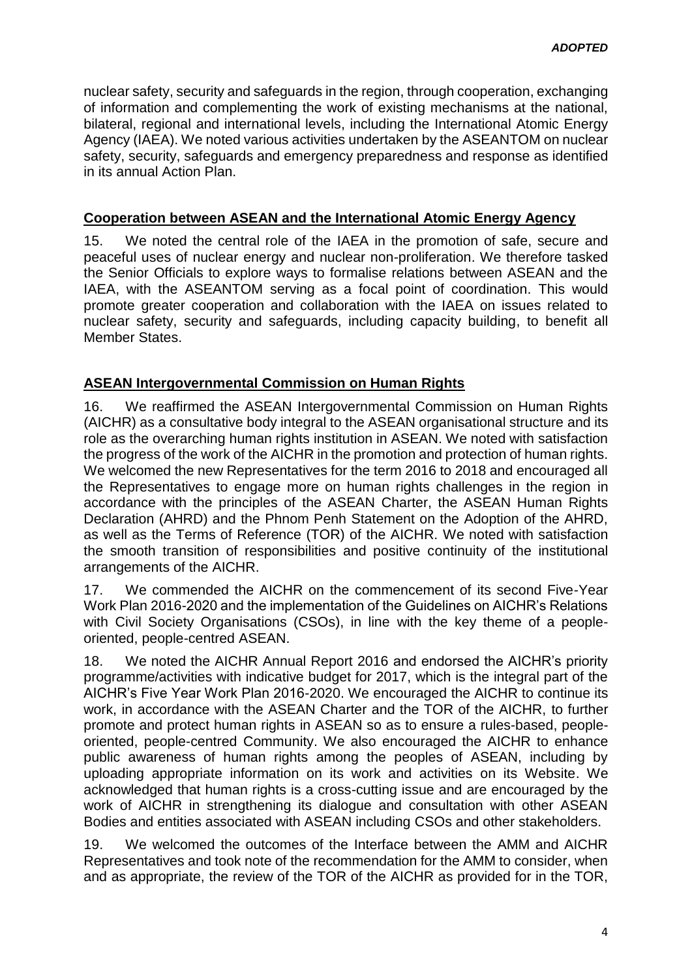nuclear safety, security and safeguards in the region, through cooperation, exchanging of information and complementing the work of existing mechanisms at the national, bilateral, regional and international levels, including the International Atomic Energy Agency (IAEA). We noted various activities undertaken by the ASEANTOM on nuclear safety, security, safeguards and emergency preparedness and response as identified in its annual Action Plan.

#### **Cooperation between ASEAN and the International Atomic Energy Agency**

15. We noted the central role of the IAEA in the promotion of safe, secure and peaceful uses of nuclear energy and nuclear non-proliferation. We therefore tasked the Senior Officials to explore ways to formalise relations between ASEAN and the IAEA, with the ASEANTOM serving as a focal point of coordination. This would promote greater cooperation and collaboration with the IAEA on issues related to nuclear safety, security and safeguards, including capacity building, to benefit all Member States.

#### **ASEAN Intergovernmental Commission on Human Rights**

16. We reaffirmed the ASEAN Intergovernmental Commission on Human Rights (AICHR) as a consultative body integral to the ASEAN organisational structure and its role as the overarching human rights institution in ASEAN. We noted with satisfaction the progress of the work of the AICHR in the promotion and protection of human rights. We welcomed the new Representatives for the term 2016 to 2018 and encouraged all the Representatives to engage more on human rights challenges in the region in accordance with the principles of the ASEAN Charter, the ASEAN Human Rights Declaration (AHRD) and the Phnom Penh Statement on the Adoption of the AHRD, as well as the Terms of Reference (TOR) of the AICHR. We noted with satisfaction the smooth transition of responsibilities and positive continuity of the institutional arrangements of the AICHR.

17. We commended the AICHR on the commencement of its second Five-Year Work Plan 2016-2020 and the implementation of the Guidelines on AICHR's Relations with Civil Society Organisations (CSOs), in line with the key theme of a peopleoriented, people-centred ASEAN.

18. We noted the AICHR Annual Report 2016 and endorsed the AICHR's priority programme/activities with indicative budget for 2017, which is the integral part of the AICHR's Five Year Work Plan 2016-2020. We encouraged the AICHR to continue its work, in accordance with the ASEAN Charter and the TOR of the AICHR, to further promote and protect human rights in ASEAN so as to ensure a rules-based, peopleoriented, people-centred Community. We also encouraged the AICHR to enhance public awareness of human rights among the peoples of ASEAN, including by uploading appropriate information on its work and activities on its Website. We acknowledged that human rights is a cross-cutting issue and are encouraged by the work of AICHR in strengthening its dialogue and consultation with other ASEAN Bodies and entities associated with ASEAN including CSOs and other stakeholders.

19. We welcomed the outcomes of the Interface between the AMM and AICHR Representatives and took note of the recommendation for the AMM to consider, when and as appropriate, the review of the TOR of the AICHR as provided for in the TOR,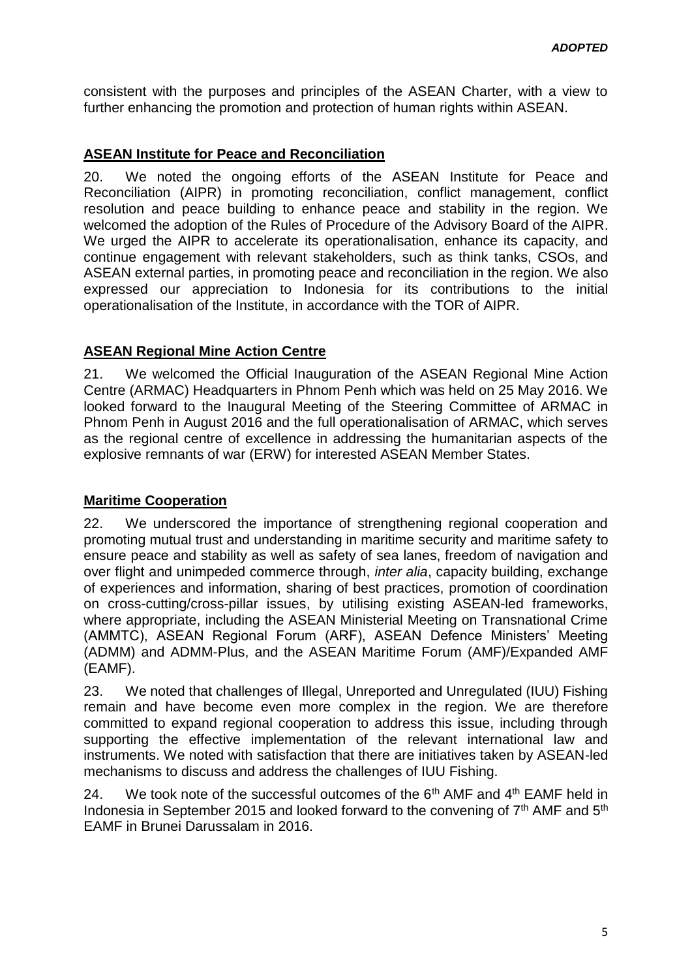consistent with the purposes and principles of the ASEAN Charter, with a view to further enhancing the promotion and protection of human rights within ASEAN.

# **ASEAN Institute for Peace and Reconciliation**

20. We noted the ongoing efforts of the ASEAN Institute for Peace and Reconciliation (AIPR) in promoting reconciliation, conflict management, conflict resolution and peace building to enhance peace and stability in the region. We welcomed the adoption of the Rules of Procedure of the Advisory Board of the AIPR. We urged the AIPR to accelerate its operationalisation, enhance its capacity, and continue engagement with relevant stakeholders, such as think tanks, CSOs, and ASEAN external parties, in promoting peace and reconciliation in the region. We also expressed our appreciation to Indonesia for its contributions to the initial operationalisation of the Institute, in accordance with the TOR of AIPR.

# **ASEAN Regional Mine Action Centre**

21. We welcomed the Official Inauguration of the ASEAN Regional Mine Action Centre (ARMAC) Headquarters in Phnom Penh which was held on 25 May 2016. We looked forward to the Inaugural Meeting of the Steering Committee of ARMAC in Phnom Penh in August 2016 and the full operationalisation of ARMAC, which serves as the regional centre of excellence in addressing the humanitarian aspects of the explosive remnants of war (ERW) for interested ASEAN Member States.

# **Maritime Cooperation**

22. We underscored the importance of strengthening regional cooperation and promoting mutual trust and understanding in maritime security and maritime safety to ensure peace and stability as well as safety of sea lanes, freedom of navigation and over flight and unimpeded commerce through, *inter alia*, capacity building, exchange of experiences and information, sharing of best practices, promotion of coordination on cross-cutting/cross-pillar issues, by utilising existing ASEAN-led frameworks, where appropriate, including the ASEAN Ministerial Meeting on Transnational Crime (AMMTC), ASEAN Regional Forum (ARF), ASEAN Defence Ministers' Meeting (ADMM) and ADMM-Plus, and the ASEAN Maritime Forum (AMF)/Expanded AMF (EAMF).

23. We noted that challenges of Illegal, Unreported and Unregulated (IUU) Fishing remain and have become even more complex in the region. We are therefore committed to expand regional cooperation to address this issue, including through supporting the effective implementation of the relevant international law and instruments. We noted with satisfaction that there are initiatives taken by ASEAN-led mechanisms to discuss and address the challenges of IUU Fishing.

24. We took note of the successful outcomes of the  $6<sup>th</sup>$  AMF and  $4<sup>th</sup>$  EAMF held in Indonesia in September 2015 and looked forward to the convening of  $7<sup>th</sup>$  AMF and  $5<sup>th</sup>$ EAMF in Brunei Darussalam in 2016.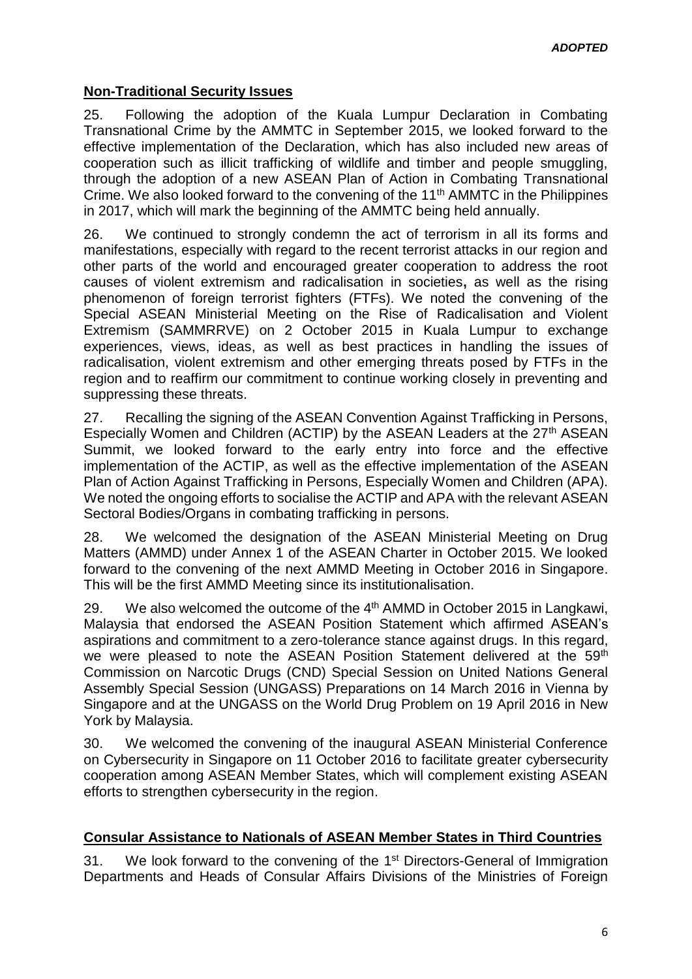#### **Non-Traditional Security Issues**

25. Following the adoption of the Kuala Lumpur Declaration in Combating Transnational Crime by the AMMTC in September 2015, we looked forward to the effective implementation of the Declaration, which has also included new areas of cooperation such as illicit trafficking of wildlife and timber and people smuggling, through the adoption of a new ASEAN Plan of Action in Combating Transnational Crime. We also looked forward to the convening of the 11<sup>th</sup> AMMTC in the Philippines in 2017, which will mark the beginning of the AMMTC being held annually.

26. We continued to strongly condemn the act of terrorism in all its forms and manifestations, especially with regard to the recent terrorist attacks in our region and other parts of the world and encouraged greater cooperation to address the root causes of violent extremism and radicalisation in societies**,** as well as the rising phenomenon of foreign terrorist fighters (FTFs). We noted the convening of the Special ASEAN Ministerial Meeting on the Rise of Radicalisation and Violent Extremism (SAMMRRVE) on 2 October 2015 in Kuala Lumpur to exchange experiences, views, ideas, as well as best practices in handling the issues of radicalisation, violent extremism and other emerging threats posed by FTFs in the region and to reaffirm our commitment to continue working closely in preventing and suppressing these threats.

27. Recalling the signing of the ASEAN Convention Against Trafficking in Persons, Especially Women and Children (ACTIP) by the ASEAN Leaders at the 27<sup>th</sup> ASEAN Summit, we looked forward to the early entry into force and the effective implementation of the ACTIP, as well as the effective implementation of the ASEAN Plan of Action Against Trafficking in Persons, Especially Women and Children (APA). We noted the ongoing efforts to socialise the ACTIP and APA with the relevant ASEAN Sectoral Bodies/Organs in combating trafficking in persons.

28. We welcomed the designation of the ASEAN Ministerial Meeting on Drug Matters (AMMD) under Annex 1 of the ASEAN Charter in October 2015. We looked forward to the convening of the next AMMD Meeting in October 2016 in Singapore. This will be the first AMMD Meeting since its institutionalisation.

29. We also welcomed the outcome of the 4th AMMD in October 2015 in Langkawi, Malaysia that endorsed the ASEAN Position Statement which affirmed ASEAN's aspirations and commitment to a zero-tolerance stance against drugs. In this regard, we were pleased to note the ASEAN Position Statement delivered at the 59<sup>th</sup> Commission on Narcotic Drugs (CND) Special Session on United Nations General Assembly Special Session (UNGASS) Preparations on 14 March 2016 in Vienna by Singapore and at the UNGASS on the World Drug Problem on 19 April 2016 in New York by Malaysia.

30. We welcomed the convening of the inaugural ASEAN Ministerial Conference on Cybersecurity in Singapore on 11 October 2016 to facilitate greater cybersecurity cooperation among ASEAN Member States, which will complement existing ASEAN efforts to strengthen cybersecurity in the region.

#### **Consular Assistance to Nationals of ASEAN Member States in Third Countries**

31. We look forward to the convening of the 1<sup>st</sup> Directors-General of Immigration Departments and Heads of Consular Affairs Divisions of the Ministries of Foreign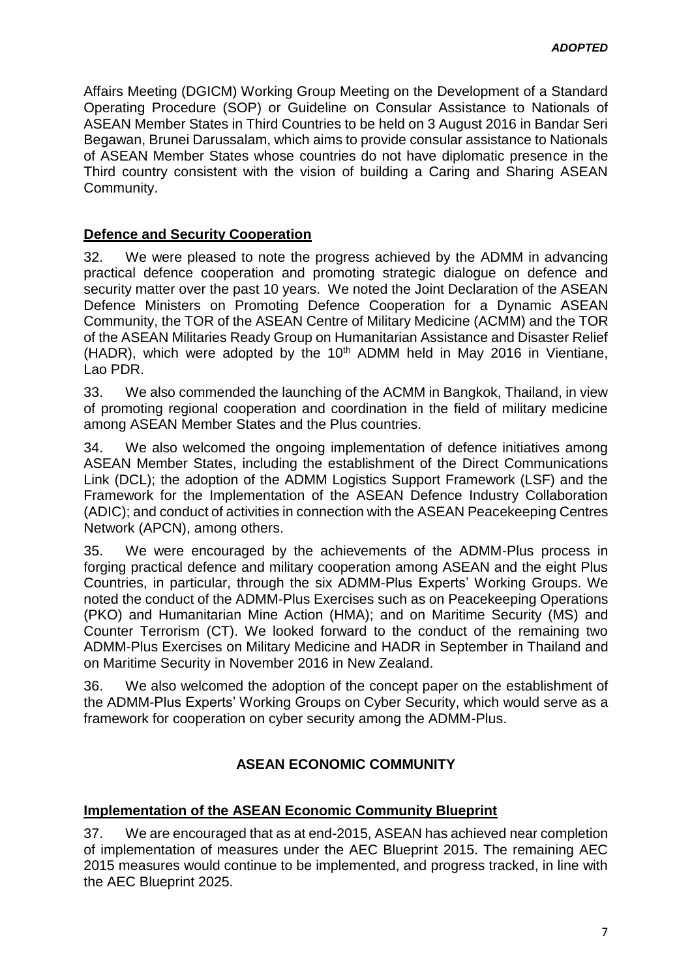Affairs Meeting (DGICM) Working Group Meeting on the Development of a Standard Operating Procedure (SOP) or Guideline on Consular Assistance to Nationals of ASEAN Member States in Third Countries to be held on 3 August 2016 in Bandar Seri Begawan, Brunei Darussalam, which aims to provide consular assistance to Nationals of ASEAN Member States whose countries do not have diplomatic presence in the Third country consistent with the vision of building a Caring and Sharing ASEAN Community.

### **Defence and Security Cooperation**

32. We were pleased to note the progress achieved by the ADMM in advancing practical defence cooperation and promoting strategic dialogue on defence and security matter over the past 10 years. We noted the Joint Declaration of the ASEAN Defence Ministers on Promoting Defence Cooperation for a Dynamic ASEAN Community, the TOR of the ASEAN Centre of Military Medicine (ACMM) and the TOR of the ASEAN Militaries Ready Group on Humanitarian Assistance and Disaster Relief (HADR), which were adopted by the  $10<sup>th</sup>$  ADMM held in May 2016 in Vientiane, Lao PDR.

33. We also commended the launching of the ACMM in Bangkok, Thailand, in view of promoting regional cooperation and coordination in the field of military medicine among ASEAN Member States and the Plus countries.

34. We also welcomed the ongoing implementation of defence initiatives among ASEAN Member States, including the establishment of the Direct Communications Link (DCL); the adoption of the ADMM Logistics Support Framework (LSF) and the Framework for the Implementation of the ASEAN Defence Industry Collaboration (ADIC); and conduct of activities in connection with the ASEAN Peacekeeping Centres Network (APCN), among others.

35. We were encouraged by the achievements of the ADMM-Plus process in forging practical defence and military cooperation among ASEAN and the eight Plus Countries, in particular, through the six ADMM-Plus Experts' Working Groups. We noted the conduct of the ADMM-Plus Exercises such as on Peacekeeping Operations (PKO) and Humanitarian Mine Action (HMA); and on Maritime Security (MS) and Counter Terrorism (CT). We looked forward to the conduct of the remaining two ADMM-Plus Exercises on Military Medicine and HADR in September in Thailand and on Maritime Security in November 2016 in New Zealand.

36. We also welcomed the adoption of the concept paper on the establishment of the ADMM-Plus Experts' Working Groups on Cyber Security, which would serve as a framework for cooperation on cyber security among the ADMM-Plus.

# **ASEAN ECONOMIC COMMUNITY**

#### **Implementation of the ASEAN Economic Community Blueprint**

37. We are encouraged that as at end-2015, ASEAN has achieved near completion of implementation of measures under the AEC Blueprint 2015. The remaining AEC 2015 measures would continue to be implemented, and progress tracked, in line with the AEC Blueprint 2025.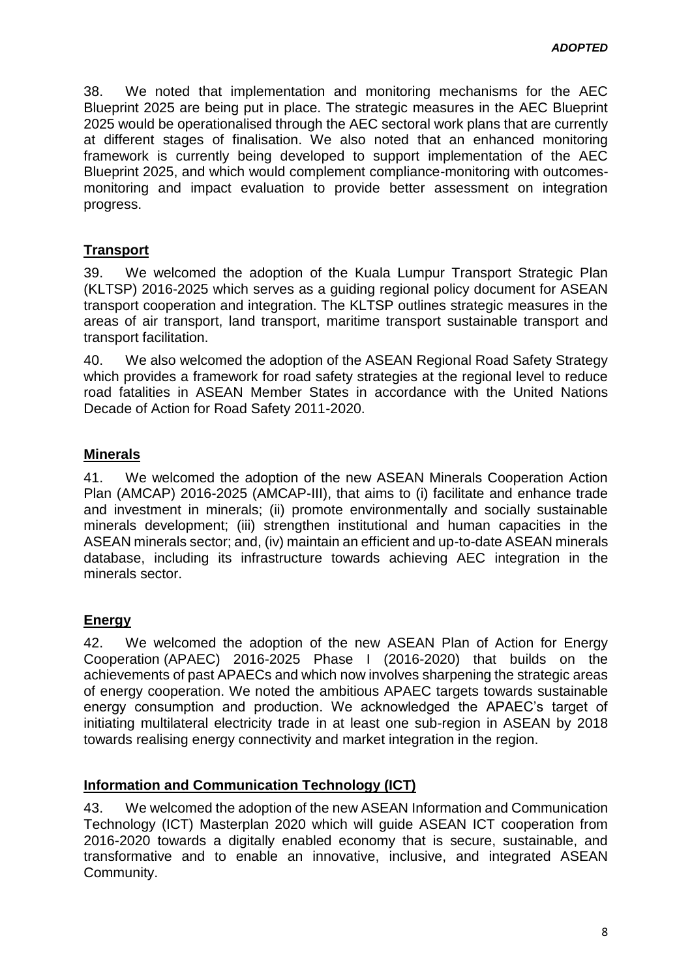38. We noted that implementation and monitoring mechanisms for the AEC Blueprint 2025 are being put in place. The strategic measures in the AEC Blueprint 2025 would be operationalised through the AEC sectoral work plans that are currently at different stages of finalisation. We also noted that an enhanced monitoring framework is currently being developed to support implementation of the AEC Blueprint 2025, and which would complement compliance-monitoring with outcomesmonitoring and impact evaluation to provide better assessment on integration progress.

# **Transport**

39. We welcomed the adoption of the Kuala Lumpur Transport Strategic Plan (KLTSP) 2016-2025 which serves as a guiding regional policy document for ASEAN transport cooperation and integration. The KLTSP outlines strategic measures in the areas of air transport, land transport, maritime transport sustainable transport and transport facilitation.

40. We also welcomed the adoption of the ASEAN Regional Road Safety Strategy which provides a framework for road safety strategies at the regional level to reduce road fatalities in ASEAN Member States in accordance with the United Nations Decade of Action for Road Safety 2011-2020.

### **Minerals**

41. We welcomed the adoption of the new ASEAN Minerals Cooperation Action Plan (AMCAP) 2016-2025 (AMCAP-III), that aims to (i) facilitate and enhance trade and investment in minerals; (ii) promote environmentally and socially sustainable minerals development; (iii) strengthen institutional and human capacities in the ASEAN minerals sector; and, (iv) maintain an efficient and up-to-date ASEAN minerals database, including its infrastructure towards achieving AEC integration in the minerals sector.

#### **Energy**

42. We welcomed the adoption of the new ASEAN Plan of Action for Energy Cooperation (APAEC) 2016-2025 Phase I (2016-2020) that builds on the achievements of past APAECs and which now involves sharpening the strategic areas of energy cooperation. We noted the ambitious APAEC targets towards sustainable energy consumption and production. We acknowledged the APAEC's target of initiating multilateral electricity trade in at least one sub-region in ASEAN by 2018 towards realising energy connectivity and market integration in the region.

#### **Information and Communication Technology (ICT)**

43. We welcomed the adoption of the new ASEAN Information and Communication Technology (ICT) Masterplan 2020 which will guide ASEAN ICT cooperation from 2016-2020 towards a digitally enabled economy that is secure, sustainable, and transformative and to enable an innovative, inclusive, and integrated ASEAN Community.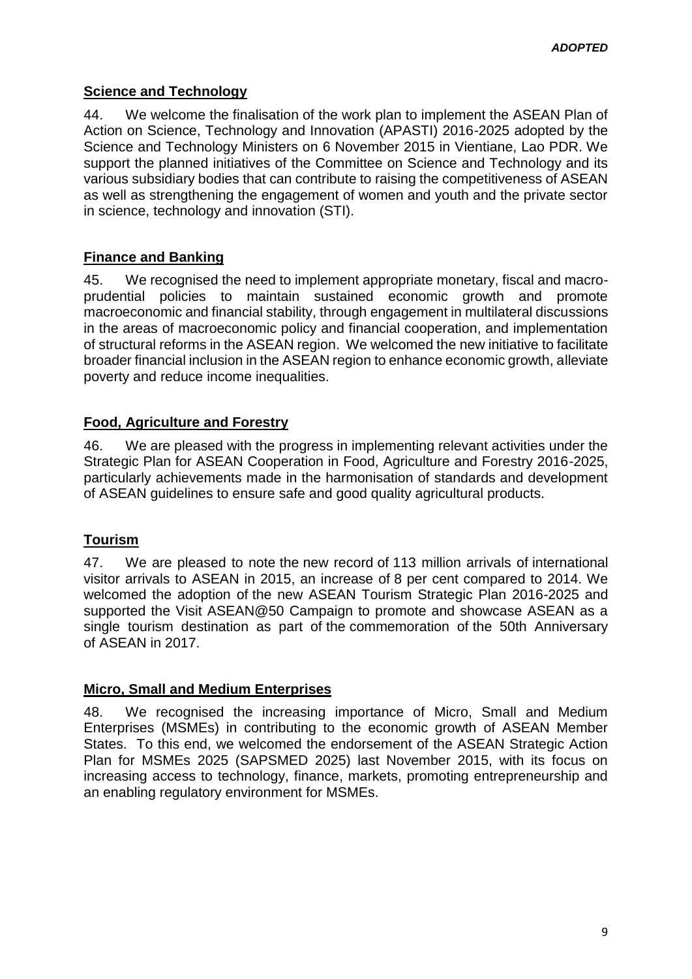# **Science and Technology**

44. We welcome the finalisation of the work plan to implement the ASEAN Plan of Action on Science, Technology and Innovation (APASTI) 2016-2025 adopted by the Science and Technology Ministers on 6 November 2015 in Vientiane, Lao PDR. We support the planned initiatives of the Committee on Science and Technology and its various subsidiary bodies that can contribute to raising the competitiveness of ASEAN as well as strengthening the engagement of women and youth and the private sector in science, technology and innovation (STI).

# **Finance and Banking**

45. We recognised the need to implement appropriate monetary, fiscal and macroprudential policies to maintain sustained economic growth and promote macroeconomic and financial stability, through engagement in multilateral discussions in the areas of macroeconomic policy and financial cooperation, and implementation of structural reforms in the ASEAN region. We welcomed the new initiative to facilitate broader financial inclusion in the ASEAN region to enhance economic growth, alleviate poverty and reduce income inequalities.

### **Food, Agriculture and Forestry**

46. We are pleased with the progress in implementing relevant activities under the Strategic Plan for ASEAN Cooperation in Food, Agriculture and Forestry 2016-2025, particularly achievements made in the harmonisation of standards and development of ASEAN guidelines to ensure safe and good quality agricultural products.

#### **Tourism**

47. We are pleased to note the new record of 113 million arrivals of international visitor arrivals to ASEAN in 2015, an increase of 8 per cent compared to 2014. We welcomed the adoption of the new ASEAN Tourism Strategic Plan 2016-2025 and supported the Visit ASEAN@50 Campaign to promote and showcase ASEAN as a single tourism destination as part of the commemoration of the 50th Anniversary of ASEAN in 2017.

#### **Micro, Small and Medium Enterprises**

48. We recognised the increasing importance of Micro, Small and Medium Enterprises (MSMEs) in contributing to the economic growth of ASEAN Member States. To this end, we welcomed the endorsement of the ASEAN Strategic Action Plan for MSMEs 2025 (SAPSMED 2025) last November 2015, with its focus on increasing access to technology, finance, markets, promoting entrepreneurship and an enabling regulatory environment for MSMEs.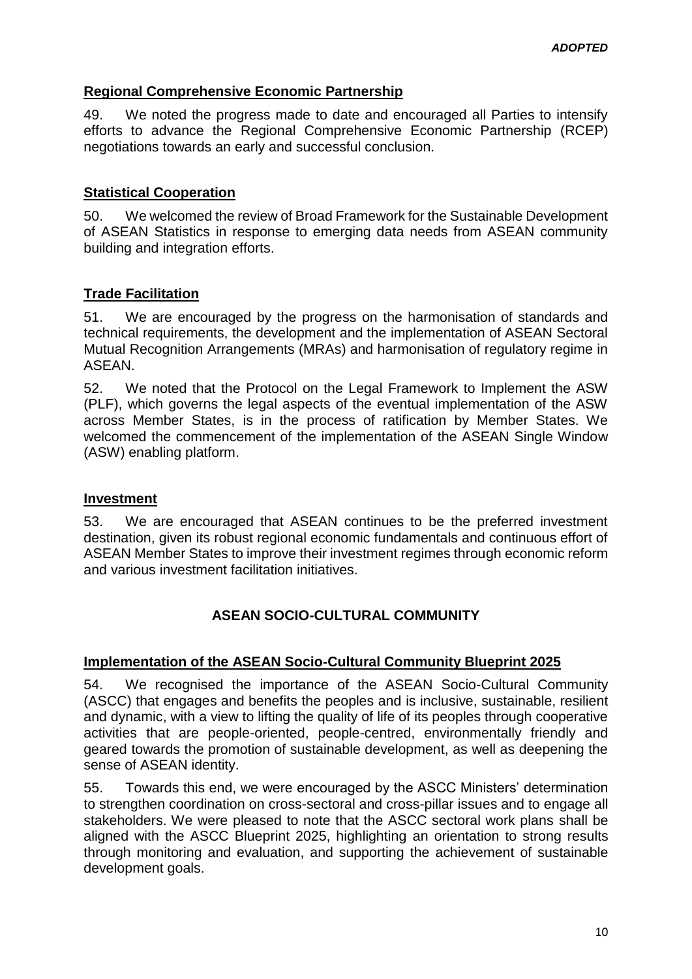### **Regional Comprehensive Economic Partnership**

49. We noted the progress made to date and encouraged all Parties to intensify efforts to advance the Regional Comprehensive Economic Partnership (RCEP) negotiations towards an early and successful conclusion.

#### **Statistical Cooperation**

50. We welcomed the review of Broad Framework for the Sustainable Development of ASEAN Statistics in response to emerging data needs from ASEAN community building and integration efforts.

### **Trade Facilitation**

51. We are encouraged by the progress on the harmonisation of standards and technical requirements, the development and the implementation of ASEAN Sectoral Mutual Recognition Arrangements (MRAs) and harmonisation of regulatory regime in ASEAN.

52. We noted that the Protocol on the Legal Framework to Implement the ASW (PLF), which governs the legal aspects of the eventual implementation of the ASW across Member States, is in the process of ratification by Member States. We welcomed the commencement of the implementation of the ASEAN Single Window (ASW) enabling platform.

#### **Investment**

53. We are encouraged that ASEAN continues to be the preferred investment destination, given its robust regional economic fundamentals and continuous effort of ASEAN Member States to improve their investment regimes through economic reform and various investment facilitation initiatives.

# **ASEAN SOCIO-CULTURAL COMMUNITY**

#### **Implementation of the ASEAN Socio-Cultural Community Blueprint 2025**

54. We recognised the importance of the ASEAN Socio-Cultural Community (ASCC) that engages and benefits the peoples and is inclusive, sustainable, resilient and dynamic, with a view to lifting the quality of life of its peoples through cooperative activities that are people-oriented, people-centred, environmentally friendly and geared towards the promotion of sustainable development, as well as deepening the sense of ASEAN identity.

55. Towards this end, we were encouraged by the ASCC Ministers' determination to strengthen coordination on cross-sectoral and cross-pillar issues and to engage all stakeholders. We were pleased to note that the ASCC sectoral work plans shall be aligned with the ASCC Blueprint 2025, highlighting an orientation to strong results through monitoring and evaluation, and supporting the achievement of sustainable development goals.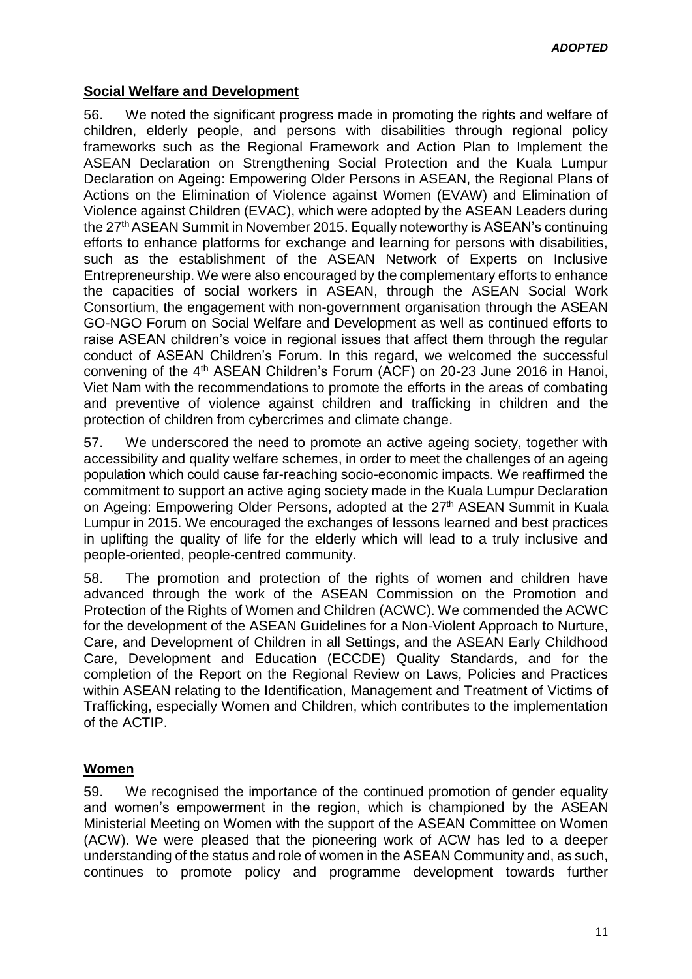### **Social Welfare and Development**

56. We noted the significant progress made in promoting the rights and welfare of children, elderly people, and persons with disabilities through regional policy frameworks such as the Regional Framework and Action Plan to Implement the ASEAN Declaration on Strengthening Social Protection and the Kuala Lumpur Declaration on Ageing: Empowering Older Persons in ASEAN, the Regional Plans of Actions on the Elimination of Violence against Women (EVAW) and Elimination of Violence against Children (EVAC), which were adopted by the ASEAN Leaders during the 27<sup>th</sup> ASEAN Summit in November 2015. Equally noteworthy is ASEAN's continuing efforts to enhance platforms for exchange and learning for persons with disabilities, such as the establishment of the ASEAN Network of Experts on Inclusive Entrepreneurship. We were also encouraged by the complementary efforts to enhance the capacities of social workers in ASEAN, through the ASEAN Social Work Consortium, the engagement with non-government organisation through the ASEAN GO-NGO Forum on Social Welfare and Development as well as continued efforts to raise ASEAN children's voice in regional issues that affect them through the regular conduct of ASEAN Children's Forum. In this regard, we welcomed the successful convening of the 4th ASEAN Children's Forum (ACF) on 20-23 June 2016 in Hanoi, Viet Nam with the recommendations to promote the efforts in the areas of combating and preventive of violence against children and trafficking in children and the protection of children from cybercrimes and climate change.

57. We underscored the need to promote an active ageing society, together with accessibility and quality welfare schemes, in order to meet the challenges of an ageing population which could cause far-reaching socio-economic impacts. We reaffirmed the commitment to support an active aging society made in the Kuala Lumpur Declaration on Ageing: Empowering Older Persons, adopted at the 27<sup>th</sup> ASEAN Summit in Kuala Lumpur in 2015. We encouraged the exchanges of lessons learned and best practices in uplifting the quality of life for the elderly which will lead to a truly inclusive and people-oriented, people-centred community.

58. The promotion and protection of the rights of women and children have advanced through the work of the ASEAN Commission on the Promotion and Protection of the Rights of Women and Children (ACWC). We commended the ACWC for the development of the ASEAN Guidelines for a Non-Violent Approach to Nurture, Care, and Development of Children in all Settings, and the ASEAN Early Childhood Care, Development and Education (ECCDE) Quality Standards, and for the completion of the Report on the Regional Review on Laws, Policies and Practices within ASEAN relating to the Identification, Management and Treatment of Victims of Trafficking, especially Women and Children, which contributes to the implementation of the ACTIP.

# **Women**

59. We recognised the importance of the continued promotion of gender equality and women's empowerment in the region, which is championed by the ASEAN Ministerial Meeting on Women with the support of the ASEAN Committee on Women (ACW). We were pleased that the pioneering work of ACW has led to a deeper understanding of the status and role of women in the ASEAN Community and, as such, continues to promote policy and programme development towards further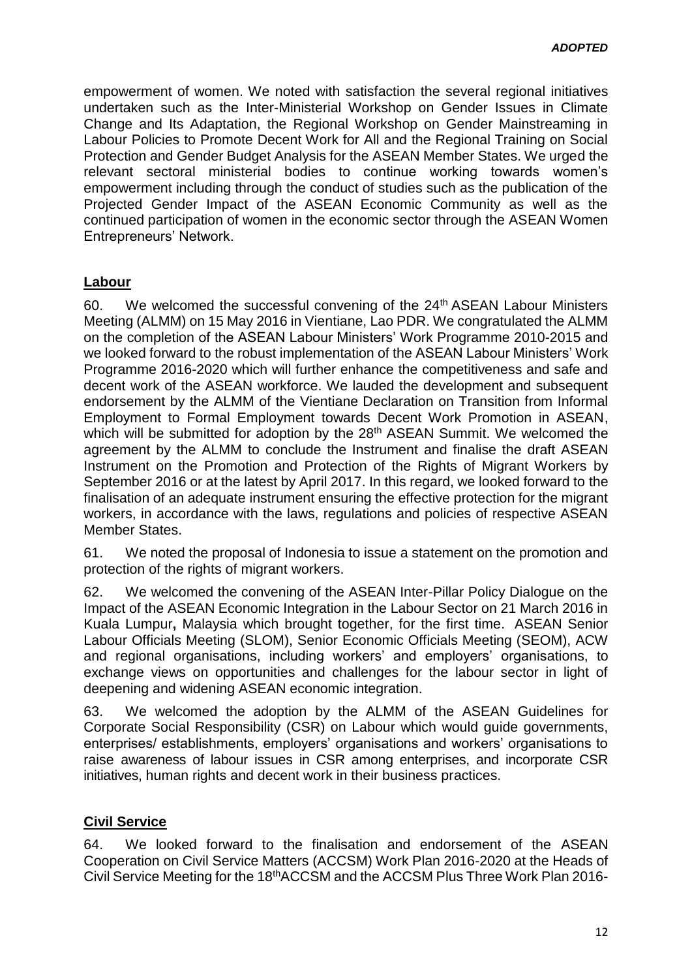empowerment of women. We noted with satisfaction the several regional initiatives undertaken such as the Inter-Ministerial Workshop on Gender Issues in Climate Change and Its Adaptation, the Regional Workshop on Gender Mainstreaming in Labour Policies to Promote Decent Work for All and the Regional Training on Social Protection and Gender Budget Analysis for the ASEAN Member States. We urged the relevant sectoral ministerial bodies to continue working towards women's empowerment including through the conduct of studies such as the publication of the Projected Gender Impact of the ASEAN Economic Community as well as the continued participation of women in the economic sector through the ASEAN Women Entrepreneurs' Network.

#### **Labour**

60. We welcomed the successful convening of the 24<sup>th</sup> ASEAN Labour Ministers Meeting (ALMM) on 15 May 2016 in Vientiane, Lao PDR. We congratulated the ALMM on the completion of the ASEAN Labour Ministers' Work Programme 2010-2015 and we looked forward to the robust implementation of the ASEAN Labour Ministers' Work Programme 2016-2020 which will further enhance the competitiveness and safe and decent work of the ASEAN workforce. We lauded the development and subsequent endorsement by the ALMM of the Vientiane Declaration on Transition from Informal Employment to Formal Employment towards Decent Work Promotion in ASEAN, which will be submitted for adoption by the 28<sup>th</sup> ASEAN Summit. We welcomed the agreement by the ALMM to conclude the Instrument and finalise the draft ASEAN Instrument on the Promotion and Protection of the Rights of Migrant Workers by September 2016 or at the latest by April 2017. In this regard, we looked forward to the finalisation of an adequate instrument ensuring the effective protection for the migrant workers, in accordance with the laws, regulations and policies of respective ASEAN Member States.

61. We noted the proposal of Indonesia to issue a statement on the promotion and protection of the rights of migrant workers.

62. We welcomed the convening of the ASEAN Inter-Pillar Policy Dialogue on the Impact of the ASEAN Economic Integration in the Labour Sector on 21 March 2016 in Kuala Lumpur**,** Malaysia which brought together, for the first time. [ASEAN Senior](http://asean.org/?static_post=work-plans-of-the-asean-senior-labour-officials-meeting-slom)  [Labour Officials Meeting](http://asean.org/?static_post=work-plans-of-the-asean-senior-labour-officials-meeting-slom) (SLOM), Senior Economic Officials Meeting (SEOM), ACW and regional organisations, including workers' and employers' organisations, to exchange views on opportunities and challenges for the labour sector in light of deepening and widening ASEAN economic integration.

63. We welcomed the adoption by the ALMM of the ASEAN Guidelines for Corporate Social Responsibility (CSR) on Labour which would guide governments, enterprises/ establishments, employers' organisations and workers' organisations to raise awareness of labour issues in CSR among enterprises, and incorporate CSR initiatives, human rights and decent work in their business practices.

#### **Civil Service**

64. We looked forward to the finalisation and endorsement of the ASEAN Cooperation on Civil Service Matters (ACCSM) Work Plan 2016-2020 at the Heads of Civil Service Meeting for the 18thACCSM and the ACCSM Plus Three Work Plan 2016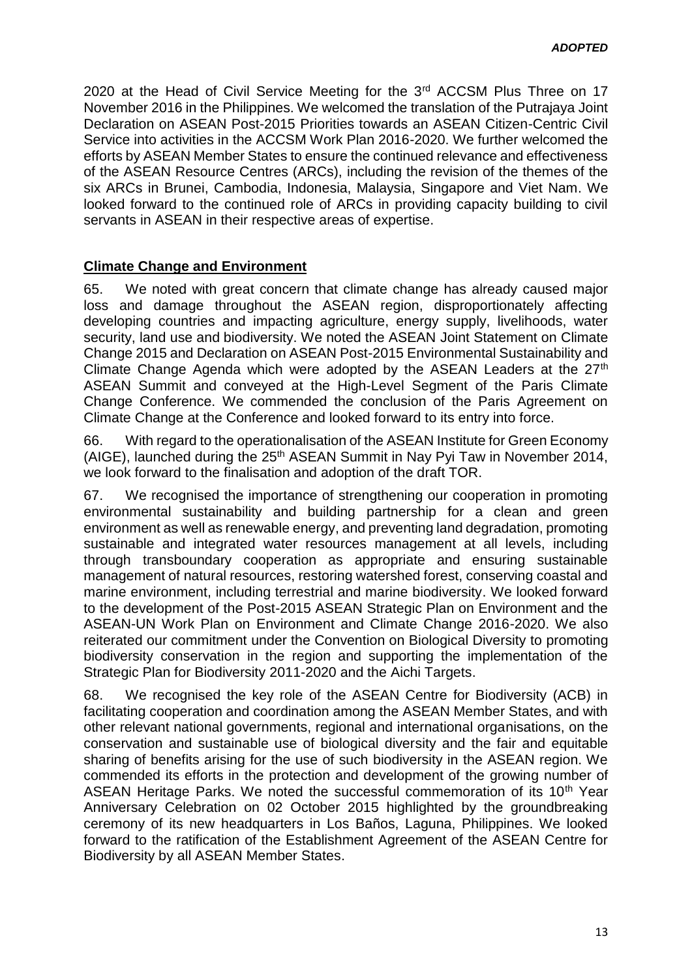2020 at the Head of Civil Service Meeting for the 3<sup>rd</sup> ACCSM Plus Three on 17 November 2016 in the Philippines. We welcomed the translation of the Putrajaya Joint Declaration on ASEAN Post-2015 Priorities towards an ASEAN Citizen-Centric Civil Service into activities in the ACCSM Work Plan 2016-2020. We further welcomed the efforts by ASEAN Member States to ensure the continued relevance and effectiveness of the ASEAN Resource Centres (ARCs), including the revision of the themes of the six ARCs in Brunei, Cambodia, Indonesia, Malaysia, Singapore and Viet Nam. We looked forward to the continued role of ARCs in providing capacity building to civil servants in ASEAN in their respective areas of expertise.

#### **Climate Change and Environment**

65. We noted with great concern that climate change has already caused major loss and damage throughout the ASEAN region, disproportionately affecting developing countries and impacting agriculture, energy supply, livelihoods, water security, land use and biodiversity. We noted the ASEAN Joint Statement on Climate Change 2015 and Declaration on ASEAN Post-2015 Environmental Sustainability and Climate Change Agenda which were adopted by the ASEAN Leaders at the 27<sup>th</sup> ASEAN Summit and conveyed at the High-Level Segment of the Paris Climate Change Conference. We commended the conclusion of the Paris Agreement on Climate Change at the Conference and looked forward to its entry into force.

66. With regard to the operationalisation of the ASEAN Institute for Green Economy (AIGE), launched during the 25th ASEAN Summit in Nay Pyi Taw in November 2014, we look forward to the finalisation and adoption of the draft TOR.

67. We recognised the importance of strengthening our cooperation in promoting environmental sustainability and building partnership for a clean and green environment as well as renewable energy, and preventing land degradation, promoting sustainable and integrated water resources management at all levels, including through transboundary cooperation as appropriate and ensuring sustainable management of natural resources, restoring watershed forest, conserving coastal and marine environment, including terrestrial and marine biodiversity. We looked forward to the development of the Post-2015 ASEAN Strategic Plan on Environment and the ASEAN-UN Work Plan on Environment and Climate Change 2016-2020. We also reiterated our commitment under the Convention on Biological Diversity to promoting biodiversity conservation in the region and supporting the implementation of the Strategic Plan for Biodiversity 2011-2020 and the Aichi Targets.

68. We recognised the key role of the ASEAN Centre for Biodiversity (ACB) in facilitating cooperation and coordination among the ASEAN Member States, and with other relevant national governments, regional and international organisations, on the conservation and sustainable use of biological diversity and the fair and equitable sharing of benefits arising for the use of such biodiversity in the ASEAN region. We commended its efforts in the protection and development of the growing number of ASEAN Heritage Parks. We noted the successful commemoration of its 10<sup>th</sup> Year Anniversary Celebration on 02 October 2015 highlighted by the groundbreaking ceremony of its new headquarters in Los Baños, Laguna, Philippines. We looked forward to the ratification of the Establishment Agreement of the ASEAN Centre for Biodiversity by all ASEAN Member States.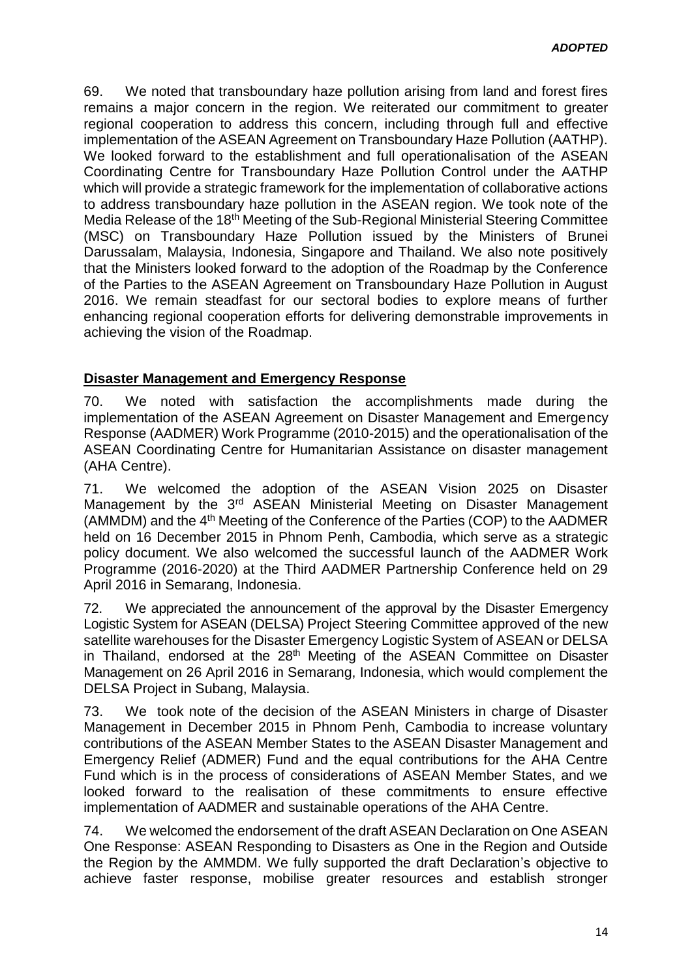69. We noted that transboundary haze pollution arising from land and forest fires remains a major concern in the region. We reiterated our commitment to greater regional cooperation to address this concern, including through full and effective implementation of the ASEAN Agreement on Transboundary Haze Pollution (AATHP). We looked forward to the establishment and full operationalisation of the ASEAN Coordinating Centre for Transboundary Haze Pollution Control under the AATHP which will provide a strategic framework for the implementation of collaborative actions to address transboundary haze pollution in the ASEAN region. We took note of the Media Release of the 18th Meeting of the Sub-Regional Ministerial Steering Committee (MSC) on Transboundary Haze Pollution issued by the Ministers of Brunei Darussalam, Malaysia, Indonesia, Singapore and Thailand. We also note positively that the Ministers looked forward to the adoption of the Roadmap by the Conference of the Parties to the ASEAN Agreement on Transboundary Haze Pollution in August 2016. We remain steadfast for our sectoral bodies to explore means of further enhancing regional cooperation efforts for delivering demonstrable improvements in achieving the vision of the Roadmap.

### **Disaster Management and Emergency Response**

70. We noted with satisfaction the accomplishments made during the implementation of the ASEAN Agreement on Disaster Management and Emergency Response (AADMER) Work Programme (2010-2015) and the operationalisation of the ASEAN Coordinating Centre for Humanitarian Assistance on disaster management (AHA Centre).

71. We welcomed the adoption of the ASEAN Vision 2025 on Disaster Management by the 3<sup>rd</sup> ASEAN Ministerial Meeting on Disaster Management (AMMDM) and the 4th Meeting of the Conference of the Parties (COP) to the AADMER held on 16 December 2015 in Phnom Penh, Cambodia, which serve as a strategic policy document. We also welcomed the successful launch of the AADMER Work Programme (2016-2020) at the Third AADMER Partnership Conference held on 29 April 2016 in Semarang, Indonesia.

72. We appreciated the announcement of the approval by the Disaster Emergency Logistic System for ASEAN (DELSA) Project Steering Committee approved of the new satellite warehouses for the Disaster Emergency Logistic System of ASEAN or DELSA in Thailand, endorsed at the 28<sup>th</sup> Meeting of the ASEAN Committee on Disaster Management on 26 April 2016 in Semarang, Indonesia, which would complement the DELSA Project in Subang, Malaysia.

73. We took note of the decision of the ASEAN Ministers in charge of Disaster Management in December 2015 in Phnom Penh, Cambodia to increase voluntary contributions of the ASEAN Member States to the ASEAN Disaster Management and Emergency Relief (ADMER) Fund and the equal contributions for the AHA Centre Fund which is in the process of considerations of ASEAN Member States, and we looked forward to the realisation of these commitments to ensure effective implementation of AADMER and sustainable operations of the AHA Centre.

74. We welcomed the endorsement of the draft ASEAN Declaration on One ASEAN One Response: ASEAN Responding to Disasters as One in the Region and Outside the Region by the AMMDM. We fully supported the draft Declaration's objective to achieve faster response, mobilise greater resources and establish stronger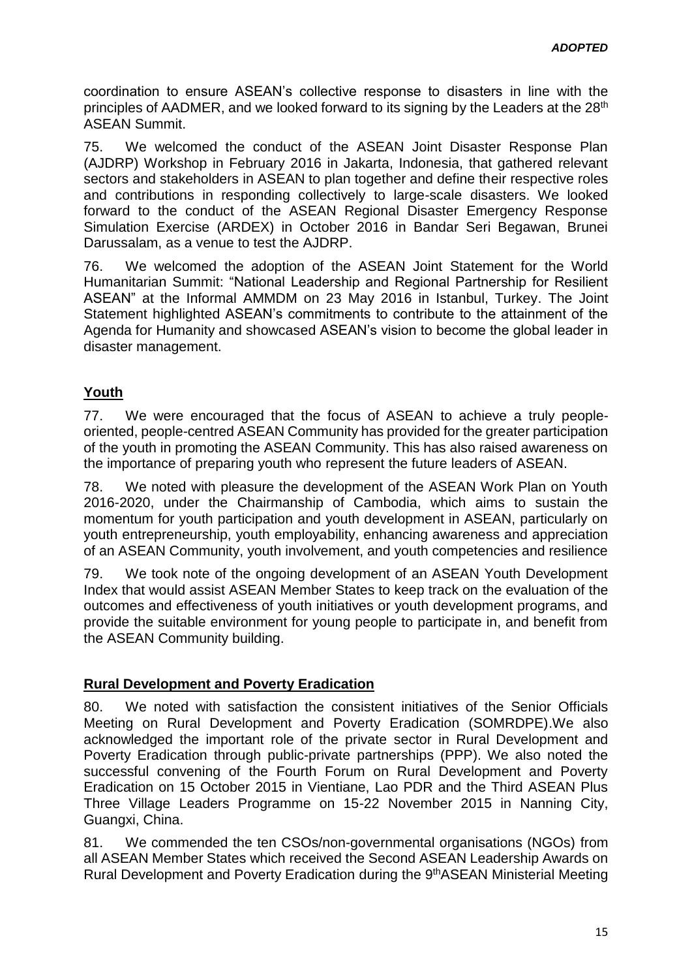coordination to ensure ASEAN's collective response to disasters in line with the principles of AADMER, and we looked forward to its signing by the Leaders at the 28<sup>th</sup> ASEAN Summit.

75. We welcomed the conduct of the ASEAN Joint Disaster Response Plan (AJDRP) Workshop in February 2016 in Jakarta, Indonesia, that gathered relevant sectors and stakeholders in ASEAN to plan together and define their respective roles and contributions in responding collectively to large-scale disasters. We looked forward to the conduct of the ASEAN Regional Disaster Emergency Response Simulation Exercise (ARDEX) in October 2016 in Bandar Seri Begawan, Brunei Darussalam, as a venue to test the AJDRP.

76. We welcomed the adoption of the ASEAN Joint Statement for the World Humanitarian Summit: "National Leadership and Regional Partnership for Resilient ASEAN" at the Informal AMMDM on 23 May 2016 in Istanbul, Turkey. The Joint Statement highlighted ASEAN's commitments to contribute to the attainment of the Agenda for Humanity and showcased ASEAN's vision to become the global leader in disaster management.

# **Youth**

77. We were encouraged that the focus of ASEAN to achieve a truly peopleoriented, people-centred ASEAN Community has provided for the greater participation of the youth in promoting the ASEAN Community. This has also raised awareness on the importance of preparing youth who represent the future leaders of ASEAN.

78. We noted with pleasure the development of the ASEAN Work Plan on Youth 2016-2020, under the Chairmanship of Cambodia, which aims to sustain the momentum for youth participation and youth development in ASEAN, particularly on youth entrepreneurship, youth employability, enhancing awareness and appreciation of an ASEAN Community, youth involvement, and youth competencies and resilience

79. We took note of the ongoing development of an ASEAN Youth Development Index that would assist ASEAN Member States to keep track on the evaluation of the outcomes and effectiveness of youth initiatives or youth development programs, and provide the suitable environment for young people to participate in, and benefit from the ASEAN Community building.

#### **Rural Development and Poverty Eradication**

80. We noted with satisfaction the consistent initiatives of the Senior Officials Meeting on Rural Development and Poverty Eradication (SOMRDPE).We also acknowledged the important role of the private sector in Rural Development and Poverty Eradication through public-private partnerships (PPP). We also noted the successful convening of the Fourth Forum on Rural Development and Poverty Eradication on 15 October 2015 in Vientiane, Lao PDR and the Third ASEAN Plus Three Village Leaders Programme on 15-22 November 2015 in Nanning City, Guangxi, China.

81. We commended the ten CSOs/non-governmental organisations (NGOs) from all ASEAN Member States which received the Second ASEAN Leadership Awards on Rural Development and Poverty Eradication during the 9<sup>th</sup>ASEAN Ministerial Meeting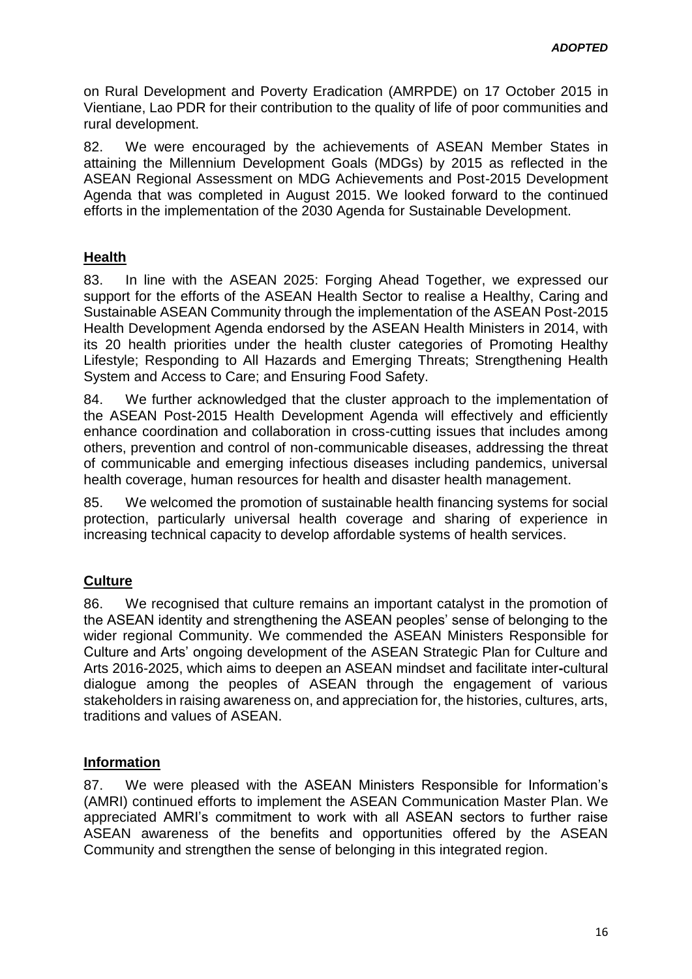on Rural Development and Poverty Eradication (AMRPDE) on 17 October 2015 in Vientiane, Lao PDR for their contribution to the quality of life of poor communities and rural development.

82. We were encouraged by the achievements of ASEAN Member States in attaining the Millennium Development Goals (MDGs) by 2015 as reflected in the ASEAN Regional Assessment on MDG Achievements and Post-2015 Development Agenda that was completed in August 2015. We looked forward to the continued efforts in the implementation of the 2030 Agenda for Sustainable Development.

### **Health**

83. In line with the ASEAN 2025: Forging Ahead Together, we expressed our support for the efforts of the ASEAN Health Sector to realise a Healthy, Caring and Sustainable ASEAN Community through the implementation of the ASEAN Post-2015 Health Development Agenda endorsed by the ASEAN Health Ministers in 2014, with its 20 health priorities under the health cluster categories of Promoting Healthy Lifestyle; Responding to All Hazards and Emerging Threats; Strengthening Health System and Access to Care; and Ensuring Food Safety.

84. We further acknowledged that the cluster approach to the implementation of the ASEAN Post-2015 Health Development Agenda will effectively and efficiently enhance coordination and collaboration in cross-cutting issues that includes among others, prevention and control of non-communicable diseases, addressing the threat of communicable and emerging infectious diseases including pandemics, universal health coverage, human resources for health and disaster health management.

85. We welcomed the promotion of sustainable health financing systems for social protection, particularly universal health coverage and sharing of experience in increasing technical capacity to develop affordable systems of health services.

# **Culture**

86. We recognised that culture remains an important catalyst in the promotion of the ASEAN identity and strengthening the ASEAN peoples' sense of belonging to the wider regional Community. We commended the ASEAN Ministers Responsible for Culture and Arts' ongoing development of the ASEAN Strategic Plan for Culture and Arts 2016-2025, which aims to deepen an ASEAN mindset and facilitate inter**-**cultural dialogue among the peoples of ASEAN through the engagement of various stakeholders in raising awareness on, and appreciation for, the histories, cultures, arts, traditions and values of ASEAN.

#### **Information**

87. We were pleased with the ASEAN Ministers Responsible for Information's (AMRI) continued efforts to implement the ASEAN Communication Master Plan. We appreciated AMRI's commitment to work with all ASEAN sectors to further raise ASEAN awareness of the benefits and opportunities offered by the ASEAN Community and strengthen the sense of belonging in this integrated region.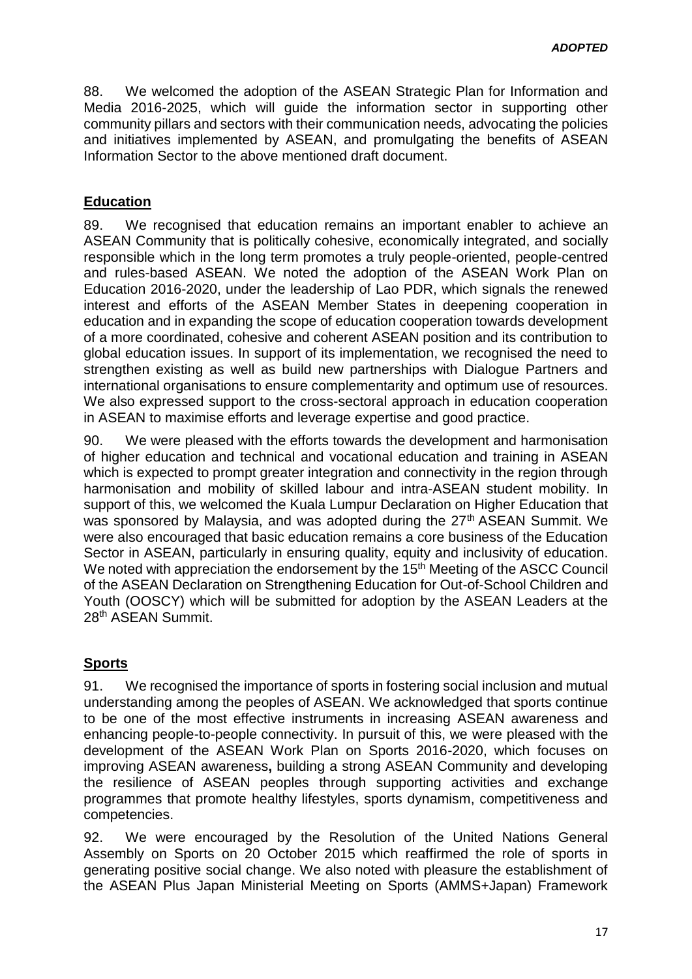88. We welcomed the adoption of the ASEAN Strategic Plan for Information and Media 2016-2025, which will guide the information sector in supporting other community pillars and sectors with their communication needs, advocating the policies and initiatives implemented by ASEAN, and promulgating the benefits of ASEAN Information Sector to the above mentioned draft document.

### **Education**

89. We recognised that education remains an important enabler to achieve an ASEAN Community that is politically cohesive, economically integrated, and socially responsible which in the long term promotes a truly people-oriented, people-centred and rules-based ASEAN. We noted the adoption of the ASEAN Work Plan on Education 2016-2020, under the leadership of Lao PDR, which signals the renewed interest and efforts of the ASEAN Member States in deepening cooperation in education and in expanding the scope of education cooperation towards development of a more coordinated, cohesive and coherent ASEAN position and its contribution to global education issues. In support of its implementation, we recognised the need to strengthen existing as well as build new partnerships with Dialogue Partners and international organisations to ensure complementarity and optimum use of resources. We also expressed support to the cross-sectoral approach in education cooperation in ASEAN to maximise efforts and leverage expertise and good practice.

90. We were pleased with the efforts towards the development and harmonisation of higher education and technical and vocational education and training in ASEAN which is expected to prompt greater integration and connectivity in the region through harmonisation and mobility of skilled labour and intra-ASEAN student mobility. In support of this, we welcomed the Kuala Lumpur Declaration on Higher Education that was sponsored by Malaysia, and was adopted during the 27<sup>th</sup> ASEAN Summit. We were also encouraged that basic education remains a core business of the Education Sector in ASEAN, particularly in ensuring quality, equity and inclusivity of education. We noted with appreciation the endorsement by the 15<sup>th</sup> Meeting of the ASCC Council of the ASEAN Declaration on Strengthening Education for Out-of-School Children and Youth (OOSCY) which will be submitted for adoption by the ASEAN Leaders at the 28th ASEAN Summit.

# **Sports**

91. We recognised the importance of sports in fostering social inclusion and mutual understanding among the peoples of ASEAN. We acknowledged that sports continue to be one of the most effective instruments in increasing ASEAN awareness and enhancing people-to-people connectivity. In pursuit of this, we were pleased with the development of the ASEAN Work Plan on Sports 2016-2020, which focuses on improving ASEAN awareness**,** building a strong ASEAN Community and developing the resilience of ASEAN peoples through supporting activities and exchange programmes that promote healthy lifestyles, sports dynamism, competitiveness and competencies.

92. We were encouraged by the Resolution of the United Nations General Assembly on Sports on 20 October 2015 which reaffirmed the role of sports in generating positive social change. We also noted with pleasure the establishment of the ASEAN Plus Japan Ministerial Meeting on Sports (AMMS+Japan) Framework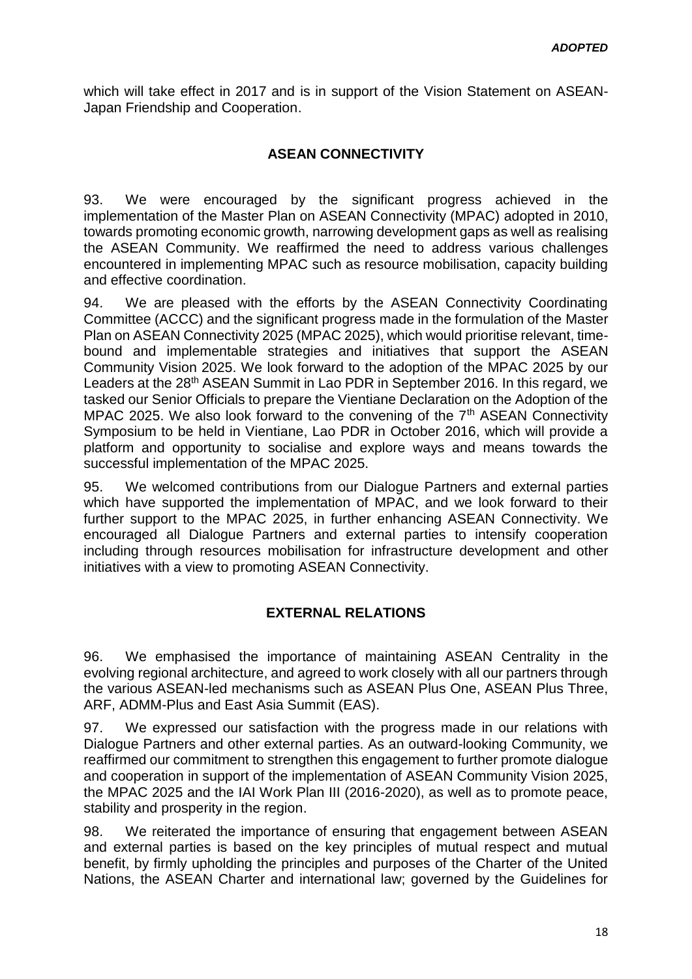which will take effect in 2017 and is in support of the Vision Statement on ASEAN-Japan Friendship and Cooperation.

### **ASEAN CONNECTIVITY**

93. We were encouraged by the significant progress achieved in the implementation of the Master Plan on ASEAN Connectivity (MPAC) adopted in 2010, towards promoting economic growth, narrowing development gaps as well as realising the ASEAN Community. We reaffirmed the need to address various challenges encountered in implementing MPAC such as resource mobilisation, capacity building and effective coordination.

94. We are pleased with the efforts by the ASEAN Connectivity Coordinating Committee (ACCC) and the significant progress made in the formulation of the Master Plan on ASEAN Connectivity 2025 (MPAC 2025), which would prioritise relevant, timebound and implementable strategies and initiatives that support the ASEAN Community Vision 2025. We look forward to the adoption of the MPAC 2025 by our Leaders at the 28<sup>th</sup> ASEAN Summit in Lao PDR in September 2016. In this regard, we tasked our Senior Officials to prepare the Vientiane Declaration on the Adoption of the MPAC 2025. We also look forward to the convening of the 7<sup>th</sup> ASEAN Connectivity Symposium to be held in Vientiane, Lao PDR in October 2016, which will provide a platform and opportunity to socialise and explore ways and means towards the successful implementation of the MPAC 2025.

95. We welcomed contributions from our Dialogue Partners and external parties which have supported the implementation of MPAC, and we look forward to their further support to the MPAC 2025, in further enhancing ASEAN Connectivity. We encouraged all Dialogue Partners and external parties to intensify cooperation including through resources mobilisation for infrastructure development and other initiatives with a view to promoting ASEAN Connectivity.

#### **EXTERNAL RELATIONS**

96. We emphasised the importance of maintaining ASEAN Centrality in the evolving regional architecture, and agreed to work closely with all our partners through the various ASEAN-led mechanisms such as ASEAN Plus One, ASEAN Plus Three, ARF, ADMM-Plus and East Asia Summit (EAS).

97. We expressed our satisfaction with the progress made in our relations with Dialogue Partners and other external parties. As an outward-looking Community, we reaffirmed our commitment to strengthen this engagement to further promote dialogue and cooperation in support of the implementation of ASEAN Community Vision 2025, the MPAC 2025 and the IAI Work Plan III (2016-2020), as well as to promote peace, stability and prosperity in the region.

98. We reiterated the importance of ensuring that engagement between ASEAN and external parties is based on the key principles of mutual respect and mutual benefit, by firmly upholding the principles and purposes of the Charter of the United Nations, the ASEAN Charter and international law; governed by the Guidelines for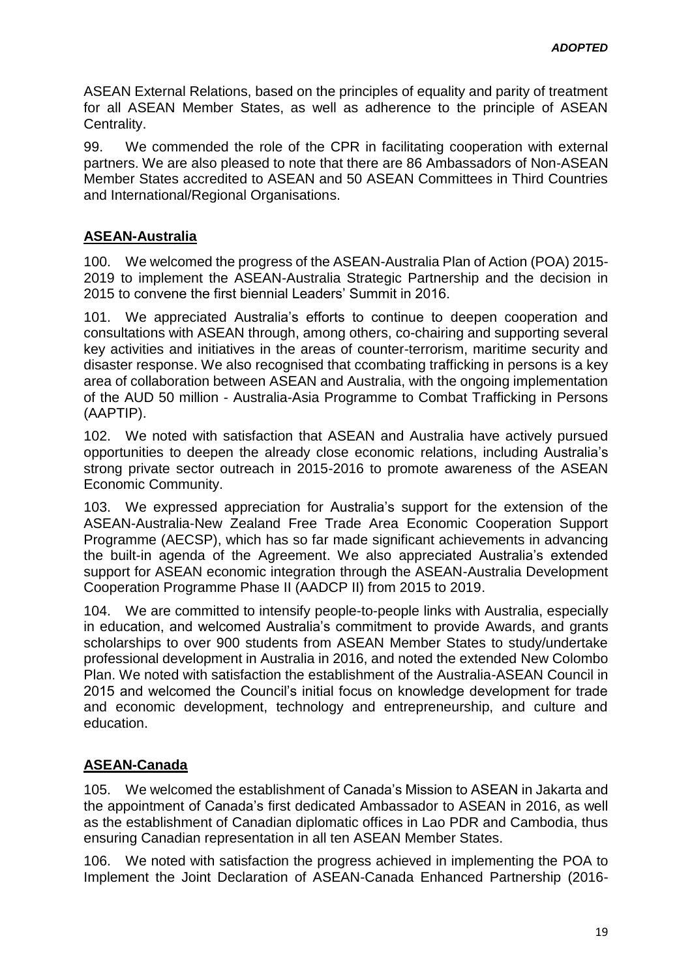ASEAN External Relations, based on the principles of equality and parity of treatment for all ASEAN Member States, as well as adherence to the principle of ASEAN Centrality.

99. We commended the role of the CPR in facilitating cooperation with external partners. We are also pleased to note that there are 86 Ambassadors of Non-ASEAN Member States accredited to ASEAN and 50 ASEAN Committees in Third Countries and International/Regional Organisations.

### **ASEAN-Australia**

100. We welcomed the progress of the ASEAN-Australia Plan of Action (POA) 2015- 2019 to implement the ASEAN-Australia Strategic Partnership and the decision in 2015 to convene the first biennial Leaders' Summit in 2016.

101. We appreciated Australia's efforts to continue to deepen cooperation and consultations with ASEAN through, among others, co-chairing and supporting several key activities and initiatives in the areas of counter-terrorism, maritime security and disaster response. We also recognised that ccombating trafficking in persons is a key area of collaboration between ASEAN and Australia, with the ongoing implementation of the AUD 50 million - Australia-Asia Programme to Combat Trafficking in Persons (AAPTIP).

102. We noted with satisfaction that ASEAN and Australia have actively pursued opportunities to deepen the already close economic relations, including Australia's strong private sector outreach in 2015-2016 to promote awareness of the ASEAN Economic Community.

103. We expressed appreciation for Australia's support for the extension of the ASEAN-Australia-New Zealand Free Trade Area Economic Cooperation Support Programme (AECSP), which has so far made significant achievements in advancing the built-in agenda of the Agreement. We also appreciated Australia's extended support for ASEAN economic integration through the ASEAN-Australia Development Cooperation Programme Phase II (AADCP II) from 2015 to 2019.

104. We are committed to intensify people-to-people links with Australia, especially in education, and welcomed Australia's commitment to provide Awards, and grants scholarships to over 900 students from ASEAN Member States to study/undertake professional development in Australia in 2016, and noted the extended New Colombo Plan. We noted with satisfaction the establishment of the Australia-ASEAN Council in 2015 and welcomed the Council's initial focus on knowledge development for trade and economic development, technology and entrepreneurship, and culture and education.

# **ASEAN-Canada**

105. We welcomed the establishment of Canada's Mission to ASEAN in Jakarta and the appointment of Canada's first dedicated Ambassador to ASEAN in 2016, as well as the establishment of Canadian diplomatic offices in Lao PDR and Cambodia, thus ensuring Canadian representation in all ten ASEAN Member States.

106. We noted with satisfaction the progress achieved in implementing the POA to Implement the Joint Declaration of ASEAN-Canada Enhanced Partnership (2016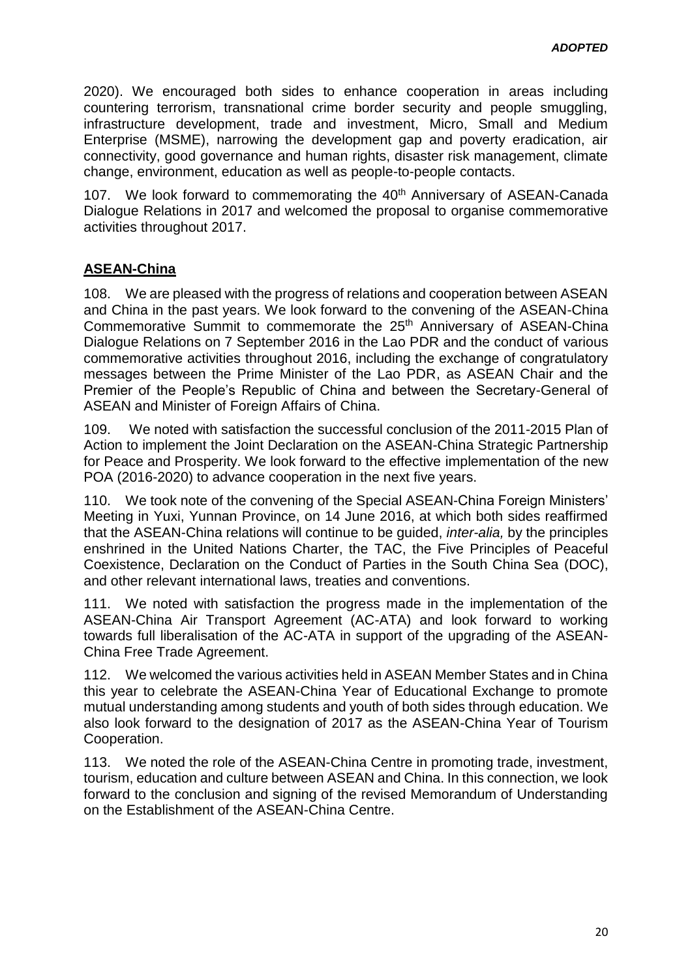2020). We encouraged both sides to enhance cooperation in areas including countering terrorism, transnational crime border security and people smuggling, infrastructure development, trade and investment, Micro, Small and Medium Enterprise (MSME), narrowing the development gap and poverty eradication, air connectivity, good governance and human rights, disaster risk management, climate change, environment, education as well as people-to-people contacts.

107. We look forward to commemorating the 40<sup>th</sup> Anniversary of ASEAN-Canada Dialogue Relations in 2017 and welcomed the proposal to organise commemorative activities throughout 2017.

# **ASEAN-China**

108. We are pleased with the progress of relations and cooperation between ASEAN and China in the past years. We look forward to the convening of the ASEAN-China Commemorative Summit to commemorate the 25<sup>th</sup> Anniversary of ASEAN-China Dialogue Relations on 7 September 2016 in the Lao PDR and the conduct of various commemorative activities throughout 2016, including the exchange of congratulatory messages between the Prime Minister of the Lao PDR, as ASEAN Chair and the Premier of the People's Republic of China and between the Secretary-General of ASEAN and Minister of Foreign Affairs of China.

109. We noted with satisfaction the successful conclusion of the 2011-2015 Plan of Action to implement the Joint Declaration on the ASEAN-China Strategic Partnership for Peace and Prosperity. We look forward to the effective implementation of the new POA (2016-2020) to advance cooperation in the next five years.

110. We took note of the convening of the Special ASEAN-China Foreign Ministers' Meeting in Yuxi, Yunnan Province, on 14 June 2016, at which both sides reaffirmed that the ASEAN-China relations will continue to be guided, *inter-alia,* by the principles enshrined in the United Nations Charter, the TAC, the Five Principles of Peaceful Coexistence, Declaration on the Conduct of Parties in the South China Sea (DOC), and other relevant international laws, treaties and conventions.

111. We noted with satisfaction the progress made in the implementation of the ASEAN-China Air Transport Agreement (AC-ATA) and look forward to working towards full liberalisation of the AC-ATA in support of the upgrading of the ASEAN-China Free Trade Agreement.

112. We welcomed the various activities held in ASEAN Member States and in China this year to celebrate the ASEAN-China Year of Educational Exchange to promote mutual understanding among students and youth of both sides through education. We also look forward to the designation of 2017 as the ASEAN-China Year of Tourism Cooperation.

113. We noted the role of the ASEAN-China Centre in promoting trade, investment, tourism, education and culture between ASEAN and China. In this connection, we look forward to the conclusion and signing of the revised Memorandum of Understanding on the Establishment of the ASEAN-China Centre.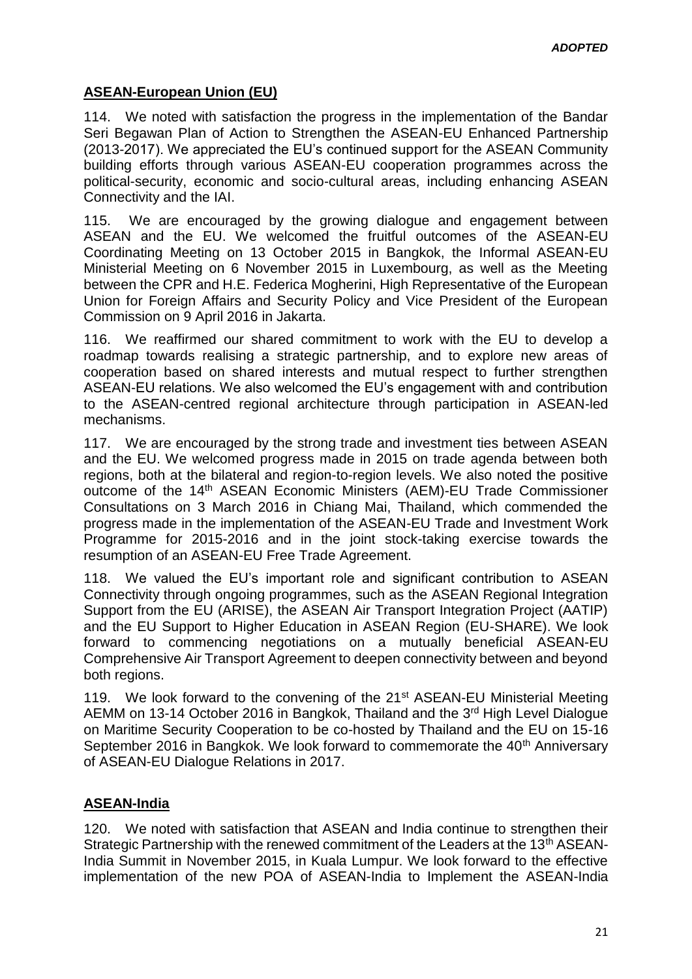# **ASEAN-European Union (EU)**

114. We noted with satisfaction the progress in the implementation of the Bandar Seri Begawan Plan of Action to Strengthen the ASEAN-EU Enhanced Partnership (2013-2017). We appreciated the EU's continued support for the ASEAN Community building efforts through various ASEAN-EU cooperation programmes across the political-security, economic and socio-cultural areas, including enhancing ASEAN Connectivity and the IAI.

115. We are encouraged by the growing dialogue and engagement between ASEAN and the EU. We welcomed the fruitful outcomes of the ASEAN-EU Coordinating Meeting on 13 October 2015 in Bangkok, the Informal ASEAN-EU Ministerial Meeting on 6 November 2015 in Luxembourg, as well as the Meeting between the CPR and H.E. Federica Mogherini, High Representative of the European Union for Foreign Affairs and Security Policy and Vice President of the European Commission on 9 April 2016 in Jakarta.

116. We reaffirmed our shared commitment to work with the EU to develop a roadmap towards realising a strategic partnership, and to explore new areas of cooperation based on shared interests and mutual respect to further strengthen ASEAN-EU relations. We also welcomed the EU's engagement with and contribution to the ASEAN-centred regional architecture through participation in ASEAN-led mechanisms.

117. We are encouraged by the strong trade and investment ties between ASEAN and the EU. We welcomed progress made in 2015 on trade agenda between both regions, both at the bilateral and region-to-region levels. We also noted the positive outcome of the 14<sup>th</sup> ASEAN Economic Ministers (AEM)-EU Trade Commissioner Consultations on 3 March 2016 in Chiang Mai, Thailand, which commended the progress made in the implementation of the ASEAN-EU Trade and Investment Work Programme for 2015-2016 and in the joint stock-taking exercise towards the resumption of an ASEAN-EU Free Trade Agreement.

118. We valued the EU's important role and significant contribution to ASEAN Connectivity through ongoing programmes, such as the ASEAN Regional Integration Support from the EU (ARISE), the ASEAN Air Transport Integration Project (AATIP) and the EU Support to Higher Education in ASEAN Region (EU-SHARE). We look forward to commencing negotiations on a mutually beneficial ASEAN-EU Comprehensive Air Transport Agreement to deepen connectivity between and beyond both regions.

119. We look forward to the convening of the 21<sup>st</sup> ASEAN-EU Ministerial Meeting AEMM on 13-14 October 2016 in Bangkok, Thailand and the 3<sup>rd</sup> High Level Dialogue on Maritime Security Cooperation to be co-hosted by Thailand and the EU on 15-16 September 2016 in Bangkok. We look forward to commemorate the 40<sup>th</sup> Anniversary of ASEAN-EU Dialogue Relations in 2017.

# **ASEAN-India**

120. We noted with satisfaction that ASEAN and India continue to strengthen their Strategic Partnership with the renewed commitment of the Leaders at the 13<sup>th</sup> ASEAN-India Summit in November 2015, in Kuala Lumpur. We look forward to the effective implementation of the new POA of ASEAN-India to Implement the ASEAN-India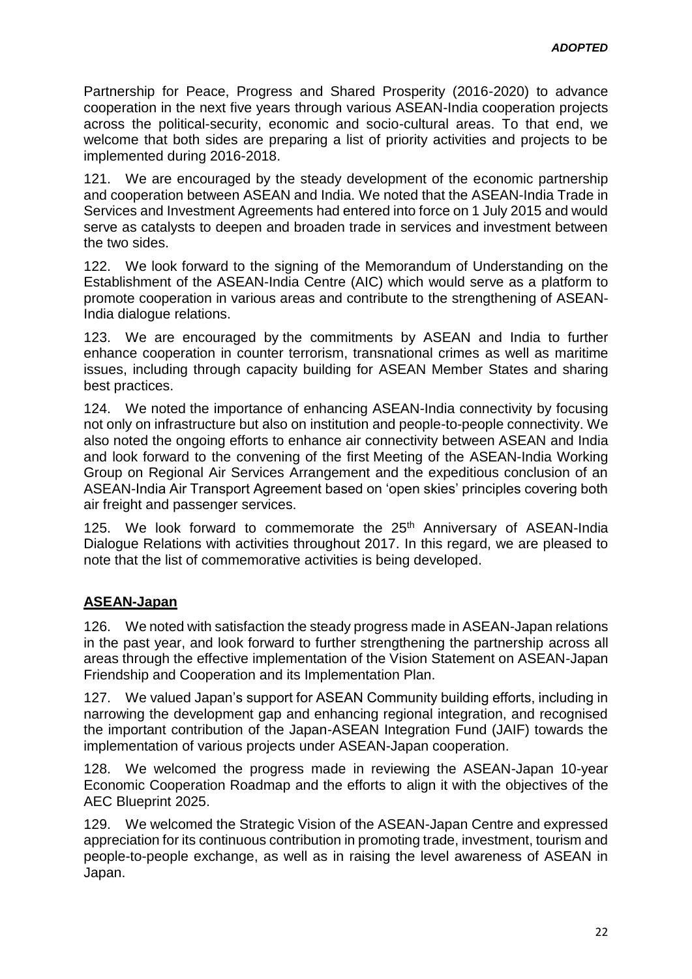Partnership for Peace, Progress and Shared Prosperity (2016-2020) to advance cooperation in the next five years through various ASEAN-India cooperation projects across the political-security, economic and socio-cultural areas. To that end, we welcome that both sides are preparing a list of priority activities and projects to be implemented during 2016-2018.

121. We are encouraged by the steady development of the economic partnership and cooperation between ASEAN and India. We noted that the ASEAN-India Trade in Services and Investment Agreements had entered into force on 1 July 2015 and would serve as catalysts to deepen and broaden trade in services and investment between the two sides.

122. We look forward to the signing of the Memorandum of Understanding on the Establishment of the ASEAN-India Centre (AIC) which would serve as a platform to promote cooperation in various areas and contribute to the strengthening of ASEAN-India dialogue relations.

123. We are encouraged by the commitments by ASEAN and India to further enhance cooperation in counter terrorism, transnational crimes as well as maritime issues, including through capacity building for ASEAN Member States and sharing best practices.

124. We noted the importance of enhancing ASEAN-India connectivity by focusing not only on infrastructure but also on institution and people-to-people connectivity. We also noted the ongoing efforts to enhance air connectivity between ASEAN and India and look forward to the convening of the first Meeting of the ASEAN-India Working Group on Regional Air Services Arrangement and the expeditious conclusion of an ASEAN-India Air Transport Agreement based on 'open skies' principles covering both air freight and passenger services.

125. We look forward to commemorate the 25<sup>th</sup> Anniversary of ASEAN-India Dialogue Relations with activities throughout 2017. In this regard, we are pleased to note that the list of commemorative activities is being developed.

# **ASEAN-Japan**

126. We noted with satisfaction the steady progress made in ASEAN-Japan relations in the past year, and look forward to further strengthening the partnership across all areas through the effective implementation of the Vision Statement on ASEAN-Japan Friendship and Cooperation and its Implementation Plan.

127. We valued Japan's support for ASEAN Community building efforts, including in narrowing the development gap and enhancing regional integration, and recognised the important contribution of the Japan-ASEAN Integration Fund (JAIF) towards the implementation of various projects under ASEAN-Japan cooperation.

128. We welcomed the progress made in reviewing the ASEAN-Japan 10-year Economic Cooperation Roadmap and the efforts to align it with the objectives of the AEC Blueprint 2025.

129. We welcomed the Strategic Vision of the ASEAN-Japan Centre and expressed appreciation for its continuous contribution in promoting trade, investment, tourism and people-to-people exchange, as well as in raising the level awareness of ASEAN in Japan.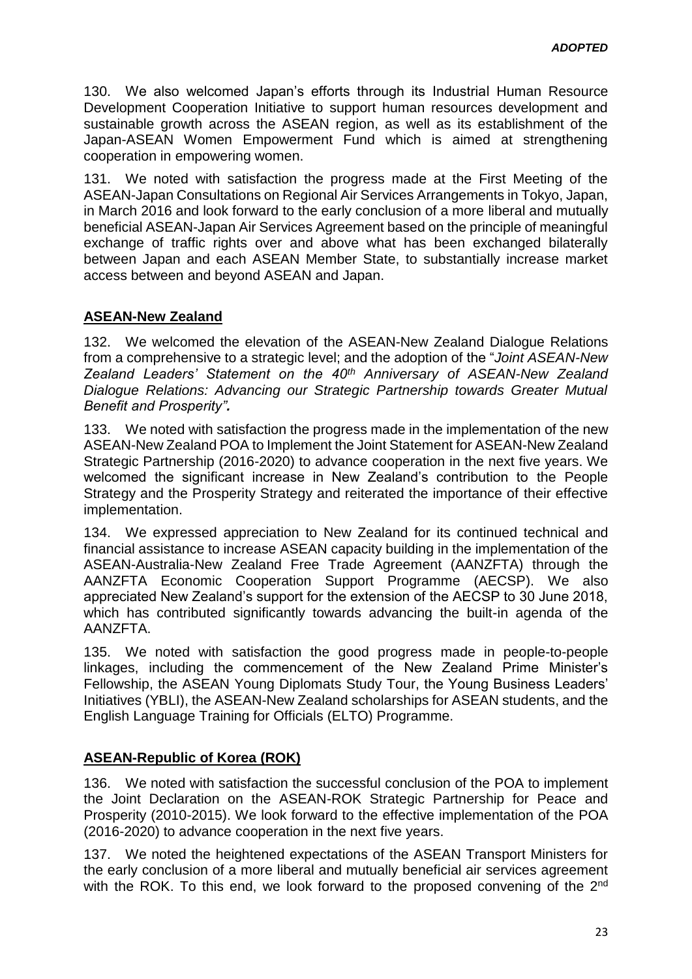130. We also welcomed Japan's efforts through its Industrial Human Resource Development Cooperation Initiative to support human resources development and sustainable growth across the ASEAN region, as well as its establishment of the Japan-ASEAN Women Empowerment Fund which is aimed at strengthening cooperation in empowering women.

131. We noted with satisfaction the progress made at the First Meeting of the ASEAN-Japan Consultations on Regional Air Services Arrangements in Tokyo, Japan, in March 2016 and look forward to the early conclusion of a more liberal and mutually beneficial ASEAN-Japan Air Services Agreement based on the principle of meaningful exchange of traffic rights over and above what has been exchanged bilaterally between Japan and each ASEAN Member State, to substantially increase market access between and beyond ASEAN and Japan.

### **ASEAN-New Zealand**

132. We welcomed the elevation of the ASEAN-New Zealand Dialogue Relations from a comprehensive to a strategic level; and the adoption of the "*Joint ASEAN-New Zealand Leaders' Statement on the 40th Anniversary of ASEAN-New Zealand Dialogue Relations: Advancing our Strategic Partnership towards Greater Mutual Benefit and Prosperity".*

133. We noted with satisfaction the progress made in the implementation of the new ASEAN-New Zealand POA to Implement the Joint Statement for ASEAN-New Zealand Strategic Partnership (2016-2020) to advance cooperation in the next five years. We welcomed the significant increase in New Zealand's contribution to the People Strategy and the Prosperity Strategy and reiterated the importance of their effective implementation.

134. We expressed appreciation to New Zealand for its continued technical and financial assistance to increase ASEAN capacity building in the implementation of the ASEAN-Australia-New Zealand Free Trade Agreement (AANZFTA) through the AANZFTA Economic Cooperation Support Programme (AECSP). We also appreciated New Zealand's support for the extension of the AECSP to 30 June 2018, which has contributed significantly towards advancing the built-in agenda of the AANZFTA.

135. We noted with satisfaction the good progress made in people-to-people linkages, including the commencement of the New Zealand Prime Minister's Fellowship, the ASEAN Young Diplomats Study Tour, the Young Business Leaders' Initiatives (YBLI), the ASEAN-New Zealand scholarships for ASEAN students, and the English Language Training for Officials (ELTO) Programme.

#### **ASEAN-Republic of Korea (ROK)**

136. We noted with satisfaction the successful conclusion of the POA to implement the Joint Declaration on the ASEAN-ROK Strategic Partnership for Peace and Prosperity (2010-2015). We look forward to the effective implementation of the POA (2016-2020) to advance cooperation in the next five years.

137. We noted the heightened expectations of the ASEAN Transport Ministers for the early conclusion of a more liberal and mutually beneficial air services agreement with the ROK. To this end, we look forward to the proposed convening of the 2<sup>nd</sup>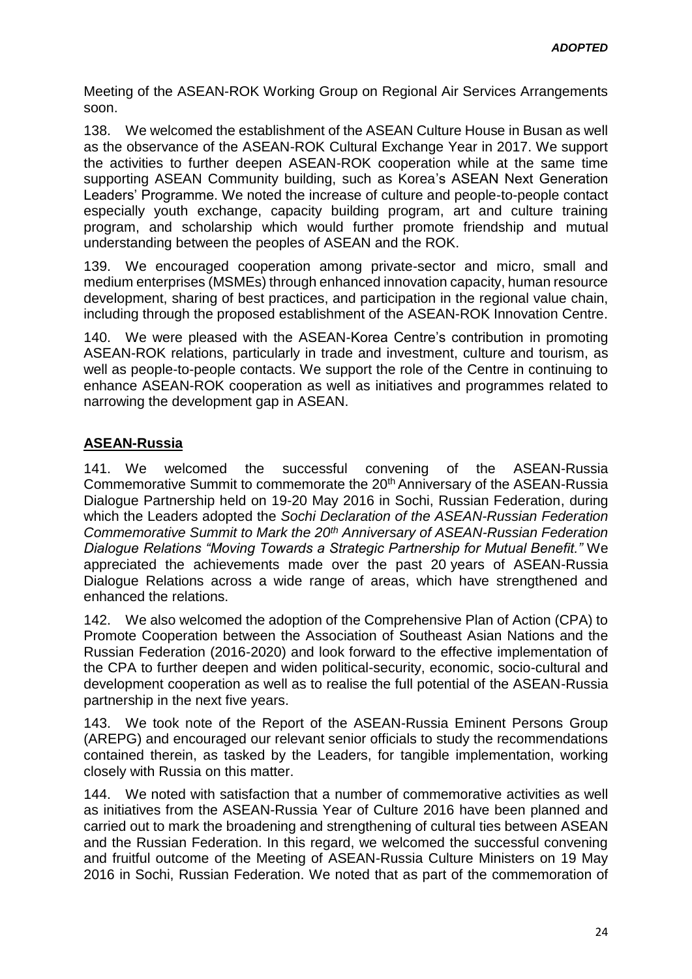Meeting of the ASEAN-ROK Working Group on Regional Air Services Arrangements soon.

138. We welcomed the establishment of the ASEAN Culture House in Busan as well as the observance of the ASEAN-ROK Cultural Exchange Year in 2017. We support the activities to further deepen ASEAN-ROK cooperation while at the same time supporting ASEAN Community building, such as Korea's ASEAN Next Generation Leaders' Programme. We noted the increase of culture and people-to-people contact especially youth exchange, capacity building program, art and culture training program, and scholarship which would further promote friendship and mutual understanding between the peoples of ASEAN and the ROK.

139. We encouraged cooperation among private-sector and micro, small and medium enterprises (MSMEs) through enhanced innovation capacity, human resource development, sharing of best practices, and participation in the regional value chain, including through the proposed establishment of the ASEAN-ROK Innovation Centre.

140. We were pleased with the ASEAN-Korea Centre's contribution in promoting ASEAN-ROK relations, particularly in trade and investment, culture and tourism, as well as people-to-people contacts. We support the role of the Centre in continuing to enhance ASEAN-ROK cooperation as well as initiatives and programmes related to narrowing the development gap in ASEAN.

# **ASEAN-Russia**

141. We welcomed the successful convening of the ASEAN-Russia Commemorative Summit to commemorate the 20<sup>th</sup> Anniversary of the ASEAN-Russia Dialogue Partnership held on 19-20 May 2016 in Sochi, Russian Federation, during which the Leaders adopted the *Sochi Declaration of the ASEAN-Russian Federation Commemorative Summit to Mark the 20th Anniversary of ASEAN-Russian Federation Dialogue Relations "Moving Towards a Strategic Partnership for Mutual Benefit."* We appreciated the achievements made over the past 20 years of ASEAN-Russia Dialogue Relations across a wide range of areas, which have strengthened and enhanced the relations.

142. We also welcomed the adoption of the Comprehensive Plan of Action (CPA) to Promote Cooperation between the Association of Southeast Asian Nations and the Russian Federation (2016-2020) and look forward to the effective implementation of the CPA to further deepen and widen political-security, economic, socio-cultural and development cooperation as well as to realise the full potential of the ASEAN-Russia partnership in the next five years.

143. We took note of the Report of the ASEAN-Russia Eminent Persons Group (AREPG) and encouraged our relevant senior officials to study the recommendations contained therein, as tasked by the Leaders, for tangible implementation, working closely with Russia on this matter.

144. We noted with satisfaction that a number of commemorative activities as well as initiatives from the ASEAN-Russia Year of Culture 2016 have been planned and carried out to mark the broadening and strengthening of cultural ties between ASEAN and the Russian Federation. In this regard, we welcomed the successful convening and fruitful outcome of the Meeting of ASEAN-Russia Culture Ministers on 19 May 2016 in Sochi, Russian Federation. We noted that as part of the commemoration of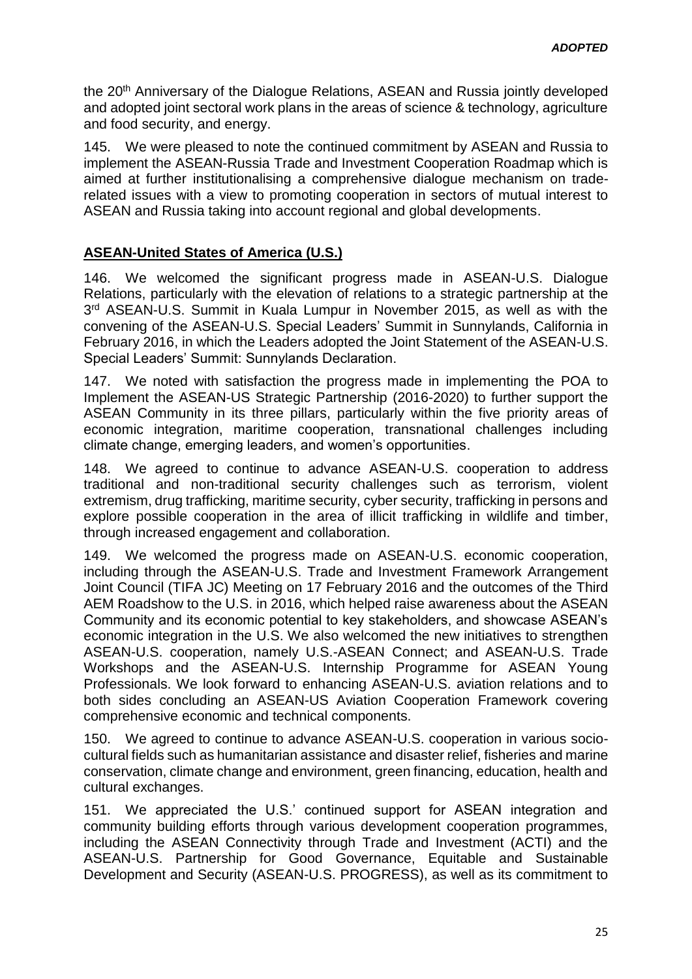the 20<sup>th</sup> Anniversary of the Dialogue Relations, ASEAN and Russia jointly developed and adopted joint sectoral work plans in the areas of science & technology, agriculture and food security, and energy.

145. We were pleased to note the continued commitment by ASEAN and Russia to implement the ASEAN-Russia Trade and Investment Cooperation Roadmap which is aimed at further institutionalising a comprehensive dialogue mechanism on traderelated issues with a view to promoting cooperation in sectors of mutual interest to ASEAN and Russia taking into account regional and global developments.

# **ASEAN-United States of America (U.S.)**

146. We welcomed the significant progress made in ASEAN-U.S. Dialogue Relations, particularly with the elevation of relations to a strategic partnership at the 3<sup>rd</sup> ASEAN-U.S. Summit in Kuala Lumpur in November 2015, as well as with the convening of the ASEAN-U.S. Special Leaders' Summit in Sunnylands, California in February 2016, in which the Leaders adopted the Joint Statement of the ASEAN-U.S. Special Leaders' Summit: Sunnylands Declaration.

147. We noted with satisfaction the progress made in implementing the POA to Implement the ASEAN-US Strategic Partnership (2016-2020) to further support the ASEAN Community in its three pillars, particularly within the five priority areas of economic integration, maritime cooperation, transnational challenges including climate change, emerging leaders, and women's opportunities.

148. We agreed to continue to advance ASEAN-U.S. cooperation to address traditional and non-traditional security challenges such as terrorism, violent extremism, drug trafficking, maritime security, cyber security, trafficking in persons and explore possible cooperation in the area of illicit trafficking in wildlife and timber, through increased engagement and collaboration.

149. We welcomed the progress made on ASEAN-U.S. economic cooperation, including through the ASEAN-U.S. Trade and Investment Framework Arrangement Joint Council (TIFA JC) Meeting on 17 February 2016 and the outcomes of the Third AEM Roadshow to the U.S. in 2016, which helped raise awareness about the ASEAN Community and its economic potential to key stakeholders, and showcase ASEAN's economic integration in the U.S. We also welcomed the new initiatives to strengthen ASEAN-U.S. cooperation, namely U.S.-ASEAN Connect; and ASEAN-U.S. Trade Workshops and the ASEAN-U.S. Internship Programme for ASEAN Young Professionals. We look forward to enhancing ASEAN-U.S. aviation relations and to both sides concluding an ASEAN-US Aviation Cooperation Framework covering comprehensive economic and technical components.

150. We agreed to continue to advance ASEAN-U.S. cooperation in various sociocultural fields such as humanitarian assistance and disaster relief, fisheries and marine conservation, climate change and environment, green financing, education, health and cultural exchanges.

151. We appreciated the U.S.' continued support for ASEAN integration and community building efforts through various development cooperation programmes, including the ASEAN Connectivity through Trade and Investment (ACTI) and the ASEAN-U.S. Partnership for Good Governance, Equitable and Sustainable Development and Security (ASEAN-U.S. PROGRESS), as well as its commitment to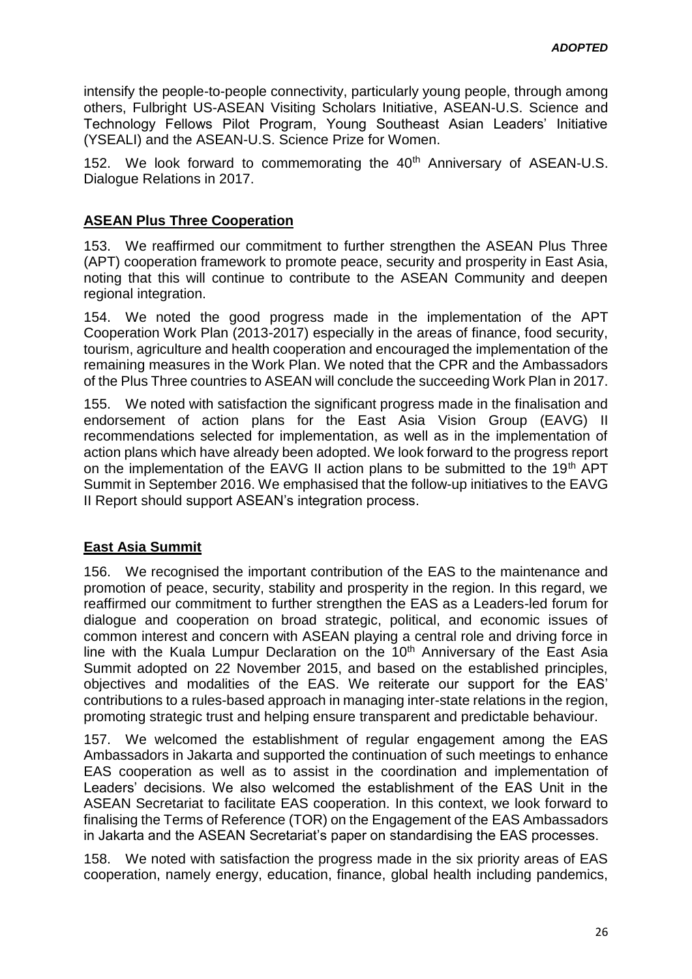intensify the people-to-people connectivity, particularly young people, through among others, Fulbright US-ASEAN Visiting Scholars Initiative, ASEAN-U.S. Science and Technology Fellows Pilot Program, Young Southeast Asian Leaders' Initiative (YSEALI) and the ASEAN-U.S. Science Prize for Women.

152. We look forward to commemorating the 40<sup>th</sup> Anniversary of ASEAN-U.S. Dialogue Relations in 2017.

#### **ASEAN Plus Three Cooperation**

153. We reaffirmed our commitment to further strengthen the ASEAN Plus Three (APT) cooperation framework to promote peace, security and prosperity in East Asia, noting that this will continue to contribute to the ASEAN Community and deepen regional integration.

154. We noted the good progress made in the implementation of the APT Cooperation Work Plan (2013-2017) especially in the areas of finance, food security, tourism, agriculture and health cooperation and encouraged the implementation of the remaining measures in the Work Plan. We noted that the CPR and the Ambassadors of the Plus Three countries to ASEAN will conclude the succeeding Work Plan in 2017.

155. We noted with satisfaction the significant progress made in the finalisation and endorsement of action plans for the East Asia Vision Group (EAVG) II recommendations selected for implementation, as well as in the implementation of action plans which have already been adopted. We look forward to the progress report on the implementation of the EAVG II action plans to be submitted to the 19<sup>th</sup> APT Summit in September 2016. We emphasised that the follow-up initiatives to the EAVG II Report should support ASEAN's integration process.

#### **East Asia Summit**

156. We recognised the important contribution of the EAS to the maintenance and promotion of peace, security, stability and prosperity in the region. In this regard, we reaffirmed our commitment to further strengthen the EAS as a Leaders-led forum for dialogue and cooperation on broad strategic, political, and economic issues of common interest and concern with ASEAN playing a central role and driving force in line with the Kuala Lumpur Declaration on the 10<sup>th</sup> Anniversary of the East Asia Summit adopted on 22 November 2015, and based on the established principles, objectives and modalities of the EAS. We reiterate our support for the EAS' contributions to a rules-based approach in managing inter-state relations in the region, promoting strategic trust and helping ensure transparent and predictable behaviour.

157. We welcomed the establishment of regular engagement among the EAS Ambassadors in Jakarta and supported the continuation of such meetings to enhance EAS cooperation as well as to assist in the coordination and implementation of Leaders' decisions. We also welcomed the establishment of the EAS Unit in the ASEAN Secretariat to facilitate EAS cooperation. In this context, we look forward to finalising the Terms of Reference (TOR) on the Engagement of the EAS Ambassadors in Jakarta and the ASEAN Secretariat's paper on standardising the EAS processes.

158. We noted with satisfaction the progress made in the six priority areas of EAS cooperation, namely energy, education, finance, global health including pandemics,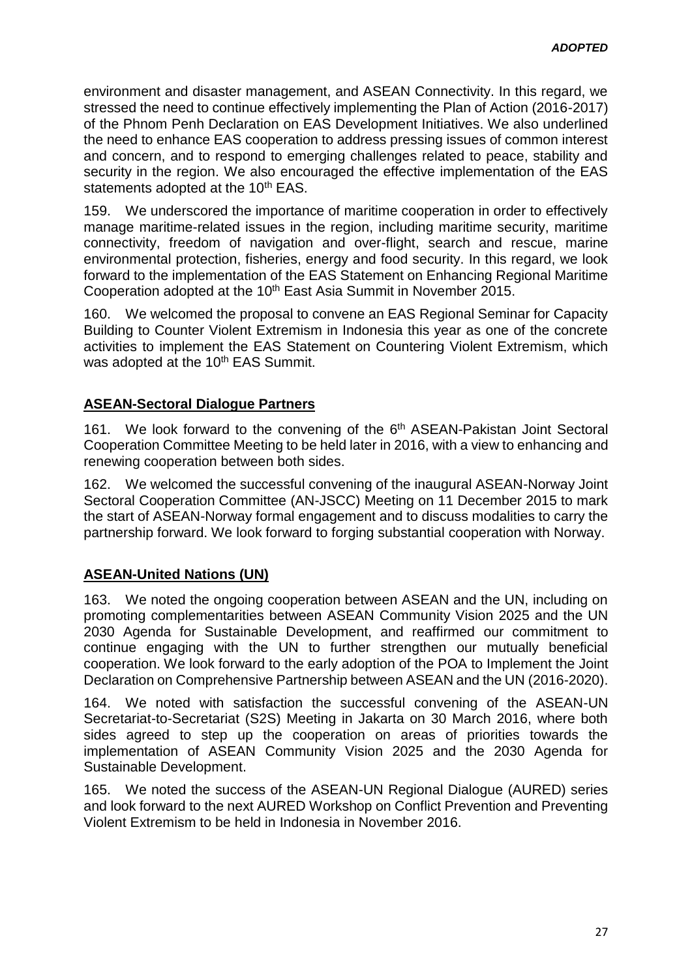environment and disaster management, and ASEAN Connectivity. In this regard, we stressed the need to continue effectively implementing the Plan of Action (2016-2017) of the Phnom Penh Declaration on EAS Development Initiatives. We also underlined the need to enhance EAS cooperation to address pressing issues of common interest and concern, and to respond to emerging challenges related to peace, stability and security in the region. We also encouraged the effective implementation of the EAS statements adopted at the 10<sup>th</sup> EAS.

159. We underscored the importance of maritime cooperation in order to effectively manage maritime-related issues in the region, including maritime security, maritime connectivity, freedom of navigation and over-flight, search and rescue, marine environmental protection, fisheries, energy and food security. In this regard, we look forward to the implementation of the EAS Statement on Enhancing Regional Maritime Cooperation adopted at the 10<sup>th</sup> East Asia Summit in November 2015.

160. We welcomed the proposal to convene an EAS Regional Seminar for Capacity Building to Counter Violent Extremism in Indonesia this year as one of the concrete activities to implement the EAS Statement on Countering Violent Extremism, which was adopted at the 10<sup>th</sup> EAS Summit.

# **ASEAN-Sectoral Dialogue Partners**

161. We look forward to the convening of the 6<sup>th</sup> ASEAN-Pakistan Joint Sectoral Cooperation Committee Meeting to be held later in 2016, with a view to enhancing and renewing cooperation between both sides.

162. We welcomed the successful convening of the inaugural ASEAN-Norway Joint Sectoral Cooperation Committee (AN-JSCC) Meeting on 11 December 2015 to mark the start of ASEAN-Norway formal engagement and to discuss modalities to carry the partnership forward. We look forward to forging substantial cooperation with Norway.

# **ASEAN-United Nations (UN)**

163. We noted the ongoing cooperation between ASEAN and the UN, including on promoting complementarities between ASEAN Community Vision 2025 and the UN 2030 Agenda for Sustainable Development, and reaffirmed our commitment to continue engaging with the UN to further strengthen our mutually beneficial cooperation. We look forward to the early adoption of the POA to Implement the Joint Declaration on Comprehensive Partnership between ASEAN and the UN (2016-2020).

164. We noted with satisfaction the successful convening of the ASEAN-UN Secretariat-to-Secretariat (S2S) Meeting in Jakarta on 30 March 2016, where both sides agreed to step up the cooperation on areas of priorities towards the implementation of ASEAN Community Vision 2025 and the 2030 Agenda for Sustainable Development.

165. We noted the success of the ASEAN-UN Regional Dialogue (AURED) series and look forward to the next AURED Workshop on Conflict Prevention and Preventing Violent Extremism to be held in Indonesia in November 2016.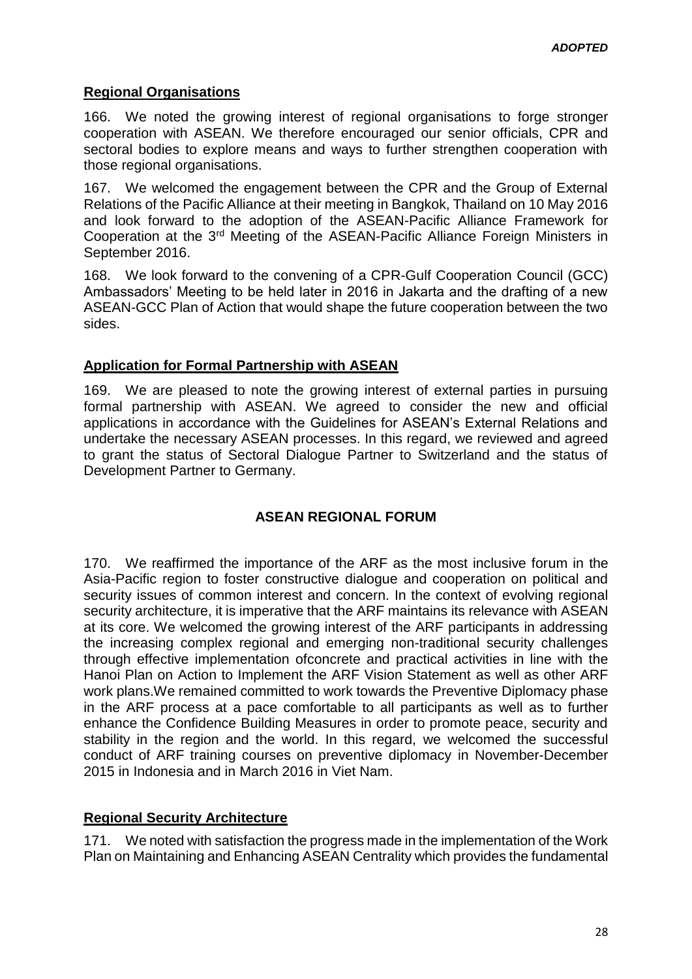# **Regional Organisations**

166. We noted the growing interest of regional organisations to forge stronger cooperation with ASEAN. We therefore encouraged our senior officials, CPR and sectoral bodies to explore means and ways to further strengthen cooperation with those regional organisations.

167. We welcomed the engagement between the CPR and the Group of External Relations of the Pacific Alliance at their meeting in Bangkok, Thailand on 10 May 2016 and look forward to the adoption of the ASEAN-Pacific Alliance Framework for Cooperation at the 3rd Meeting of the ASEAN-Pacific Alliance Foreign Ministers in September 2016.

168. We look forward to the convening of a CPR-Gulf Cooperation Council (GCC) Ambassadors' Meeting to be held later in 2016 in Jakarta and the drafting of a new ASEAN-GCC Plan of Action that would shape the future cooperation between the two sides.

# **Application for Formal Partnership with ASEAN**

169. We are pleased to note the growing interest of external parties in pursuing formal partnership with ASEAN. We agreed to consider the new and official applications in accordance with the Guidelines for ASEAN's External Relations and undertake the necessary ASEAN processes. In this regard, we reviewed and agreed to grant the status of Sectoral Dialogue Partner to Switzerland and the status of Development Partner to Germany.

# **ASEAN REGIONAL FORUM**

170. We reaffirmed the importance of the ARF as the most inclusive forum in the Asia-Pacific region to foster constructive dialogue and cooperation on political and security issues of common interest and concern. In the context of evolving regional security architecture, it is imperative that the ARF maintains its relevance with ASEAN at its core. We welcomed the growing interest of the ARF participants in addressing the increasing complex regional and emerging non-traditional security challenges through effective implementation ofconcrete and practical activities in line with the Hanoi Plan on Action to Implement the ARF Vision Statement as well as other ARF work plans.We remained committed to work towards the Preventive Diplomacy phase in the ARF process at a pace comfortable to all participants as well as to further enhance the Confidence Building Measures in order to promote peace, security and stability in the region and the world. In this regard, we welcomed the successful conduct of ARF training courses on preventive diplomacy in November-December 2015 in Indonesia and in March 2016 in Viet Nam.

#### **Regional Security Architecture**

171. We noted with satisfaction the progress made in the implementation of the Work Plan on Maintaining and Enhancing ASEAN Centrality which provides the fundamental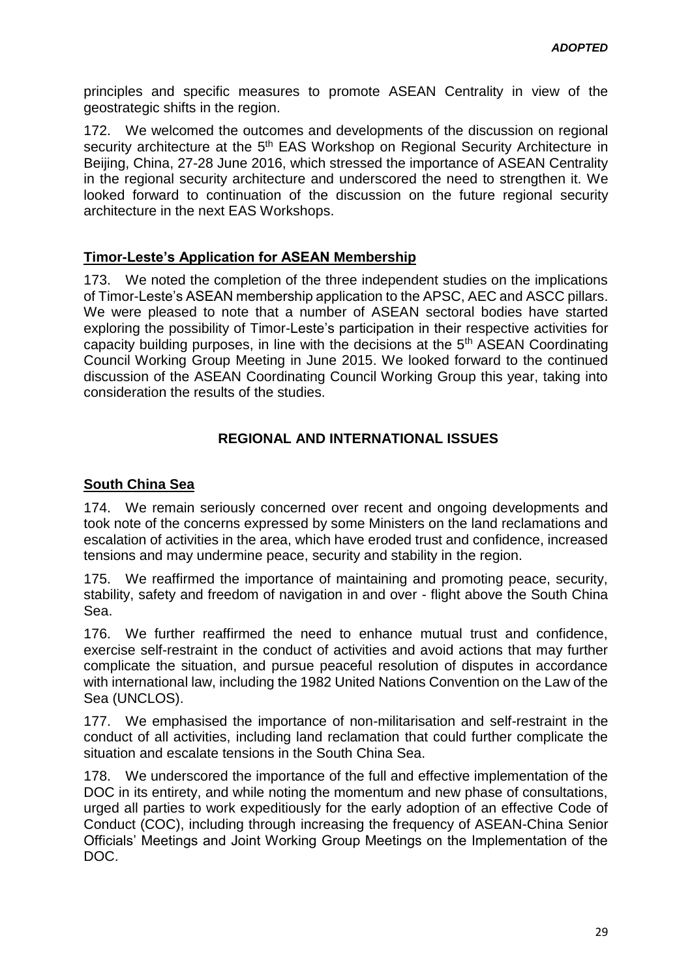principles and specific measures to promote ASEAN Centrality in view of the geostrategic shifts in the region.

172. We welcomed the outcomes and developments of the discussion on regional security architecture at the 5<sup>th</sup> EAS Workshop on Regional Security Architecture in Beijing, China, 27-28 June 2016, which stressed the importance of ASEAN Centrality in the regional security architecture and underscored the need to strengthen it. We looked forward to continuation of the discussion on the future regional security architecture in the next EAS Workshops.

#### **Timor-Leste's Application for ASEAN Membership**

173. We noted the completion of the three independent studies on the implications of Timor-Leste's ASEAN membership application to the APSC, AEC and ASCC pillars. We were pleased to note that a number of ASEAN sectoral bodies have started exploring the possibility of Timor-Leste's participation in their respective activities for capacity building purposes, in line with the decisions at the 5th ASEAN Coordinating Council Working Group Meeting in June 2015. We looked forward to the continued discussion of the ASEAN Coordinating Council Working Group this year, taking into consideration the results of the studies.

#### **REGIONAL AND INTERNATIONAL ISSUES**

### **South China Sea**

174. We remain seriously concerned over recent and ongoing developments and took note of the concerns expressed by some Ministers on the land reclamations and escalation of activities in the area, which have eroded trust and confidence, increased tensions and may undermine peace, security and stability in the region.

175. We reaffirmed the importance of maintaining and promoting peace, security, stability, safety and freedom of navigation in and over - flight above the South China Sea.

176. We further reaffirmed the need to enhance mutual trust and confidence, exercise self-restraint in the conduct of activities and avoid actions that may further complicate the situation, and pursue peaceful resolution of disputes in accordance with international law, including the 1982 United Nations Convention on the Law of the Sea (UNCLOS).

177. We emphasised the importance of non-militarisation and self-restraint in the conduct of all activities, including land reclamation that could further complicate the situation and escalate tensions in the South China Sea.

178. We underscored the importance of the full and effective implementation of the DOC in its entirety, and while noting the momentum and new phase of consultations, urged all parties to work expeditiously for the early adoption of an effective Code of Conduct (COC), including through increasing the frequency of ASEAN-China Senior Officials' Meetings and Joint Working Group Meetings on the Implementation of the DOC.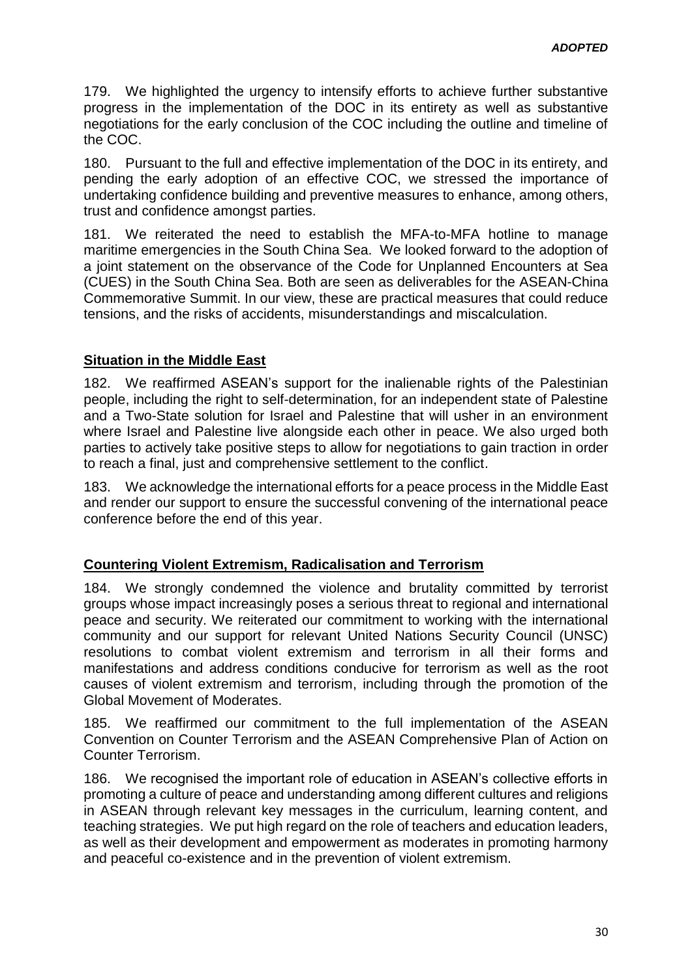179. We highlighted the urgency to intensify efforts to achieve further substantive progress in the implementation of the DOC in its entirety as well as substantive negotiations for the early conclusion of the COC including the outline and timeline of the COC.

180. Pursuant to the full and effective implementation of the DOC in its entirety, and pending the early adoption of an effective COC, we stressed the importance of undertaking confidence building and preventive measures to enhance, among others, trust and confidence amongst parties.

181. We reiterated the need to establish the MFA-to-MFA hotline to manage maritime emergencies in the South China Sea. We looked forward to the adoption of a joint statement on the observance of the Code for Unplanned Encounters at Sea (CUES) in the South China Sea. Both are seen as deliverables for the ASEAN-China Commemorative Summit. In our view, these are practical measures that could reduce tensions, and the risks of accidents, misunderstandings and miscalculation.

### **Situation in the Middle East**

182. We reaffirmed ASEAN's support for the inalienable rights of the Palestinian people, including the right to self-determination, for an independent state of Palestine and a Two-State solution for Israel and Palestine that will usher in an environment where Israel and Palestine live alongside each other in peace. We also urged both parties to actively take positive steps to allow for negotiations to gain traction in order to reach a final, just and comprehensive settlement to the conflict.

183. We acknowledge the international efforts for a peace process in the Middle East and render our support to ensure the successful convening of the international peace conference before the end of this year.

# **Countering Violent Extremism, Radicalisation and Terrorism**

184. We strongly condemned the violence and brutality committed by terrorist groups whose impact increasingly poses a serious threat to regional and international peace and security. We reiterated our commitment to working with the international community and our support for relevant United Nations Security Council (UNSC) resolutions to combat violent extremism and terrorism in all their forms and manifestations and address conditions conducive for terrorism as well as the root causes of violent extremism and terrorism, including through the promotion of the Global Movement of Moderates.

185. We reaffirmed our commitment to the full implementation of the ASEAN Convention on Counter Terrorism and the ASEAN Comprehensive Plan of Action on Counter Terrorism.

186. We recognised the important role of education in ASEAN's collective efforts in promoting a culture of peace and understanding among different cultures and religions in ASEAN through relevant key messages in the curriculum, learning content, and teaching strategies. We put high regard on the role of teachers and education leaders, as well as their development and empowerment as moderates in promoting harmony and peaceful co-existence and in the prevention of violent extremism.